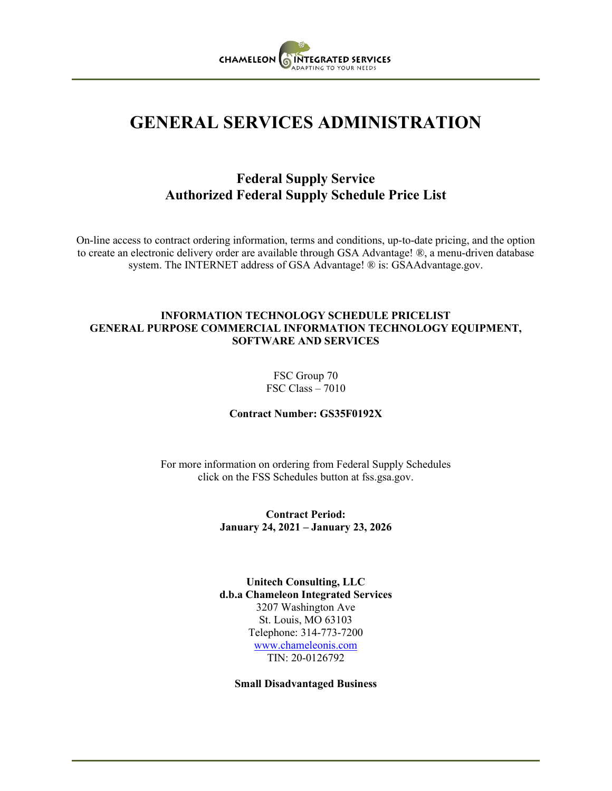

## **GENERAL SERVICES ADMINISTRATION**

## **Federal Supply Service Authorized Federal Supply Schedule Price List**

On-line access to contract ordering information, terms and conditions, up-to-date pricing, and the option to create an electronic delivery order are available through GSA Advantage! ®, a menu-driven database system. The INTERNET address of GSA Advantage! ® is: GSAAdvantage.gov.

#### **INFORMATION TECHNOLOGY SCHEDULE PRICELIST GENERAL PURPOSE COMMERCIAL INFORMATION TECHNOLOGY EQUIPMENT, SOFTWARE AND SERVICES**

FSC Group 70 FSC Class – 7010

**Contract Number: GS35F0192X**

For more information on ordering from Federal Supply Schedules click on the FSS Schedules button at fss.gsa.gov.

> **Contract Period: January 24, 2021 – January 23, 2026**

> **Unitech Consulting, LLC d.b.a Chameleon Integrated Services** 3207 Washington Ave St. Louis, MO 63103 Telephone: 314-773-7200 [www.chameleonis.com](http://www.index-analytics.com/) TIN: 20-0126792

**Small Disadvantaged Business**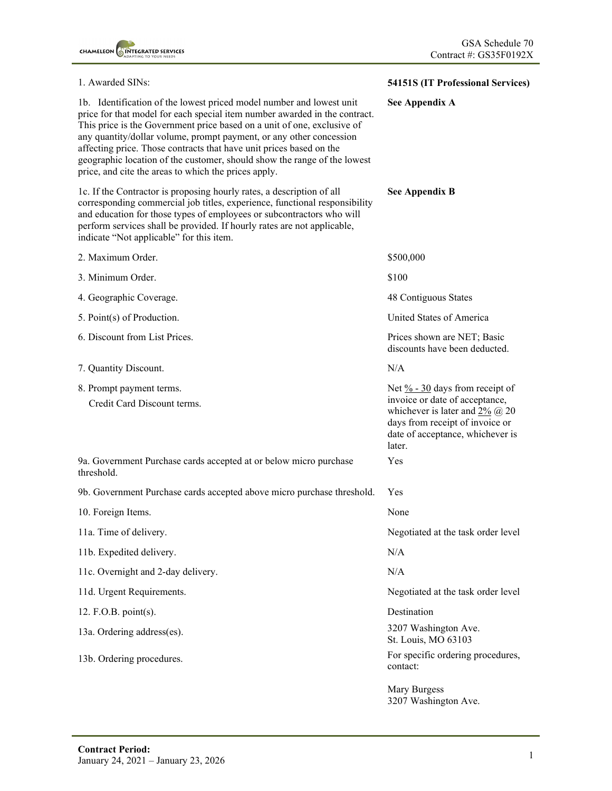| 1. Awarded SINs:                                                                                                                                                                                                                                                                                                                                                                                                                                                                                                | 54151S (IT Professional Services)                                                                                                                                                                                     |
|-----------------------------------------------------------------------------------------------------------------------------------------------------------------------------------------------------------------------------------------------------------------------------------------------------------------------------------------------------------------------------------------------------------------------------------------------------------------------------------------------------------------|-----------------------------------------------------------------------------------------------------------------------------------------------------------------------------------------------------------------------|
| 1b. Identification of the lowest priced model number and lowest unit<br>price for that model for each special item number awarded in the contract.<br>This price is the Government price based on a unit of one, exclusive of<br>any quantity/dollar volume, prompt payment, or any other concession<br>affecting price. Those contracts that have unit prices based on the<br>geographic location of the customer, should show the range of the lowest<br>price, and cite the areas to which the prices apply. | See Appendix A                                                                                                                                                                                                        |
| 1c. If the Contractor is proposing hourly rates, a description of all<br>corresponding commercial job titles, experience, functional responsibility<br>and education for those types of employees or subcontractors who will<br>perform services shall be provided. If hourly rates are not applicable,<br>indicate "Not applicable" for this item.                                                                                                                                                             | <b>See Appendix B</b>                                                                                                                                                                                                 |
| 2. Maximum Order.                                                                                                                                                                                                                                                                                                                                                                                                                                                                                               | \$500,000                                                                                                                                                                                                             |
| 3. Minimum Order.                                                                                                                                                                                                                                                                                                                                                                                                                                                                                               | \$100                                                                                                                                                                                                                 |
| 4. Geographic Coverage.                                                                                                                                                                                                                                                                                                                                                                                                                                                                                         | 48 Contiguous States                                                                                                                                                                                                  |
| 5. Point(s) of Production.                                                                                                                                                                                                                                                                                                                                                                                                                                                                                      | United States of America                                                                                                                                                                                              |
| 6. Discount from List Prices.                                                                                                                                                                                                                                                                                                                                                                                                                                                                                   | Prices shown are NET; Basic<br>discounts have been deducted.                                                                                                                                                          |
| 7. Quantity Discount.                                                                                                                                                                                                                                                                                                                                                                                                                                                                                           | N/A                                                                                                                                                                                                                   |
| 8. Prompt payment terms.<br>Credit Card Discount terms.                                                                                                                                                                                                                                                                                                                                                                                                                                                         | Net $\frac{9}{6}$ - 30 days from receipt of<br>invoice or date of acceptance,<br>whichever is later and $2\%$ ( $\ddot{\omega}$ ) 20<br>days from receipt of invoice or<br>date of acceptance, whichever is<br>later. |
| 9a. Government Purchase cards accepted at or below micro purchase<br>threshold.                                                                                                                                                                                                                                                                                                                                                                                                                                 | Yes                                                                                                                                                                                                                   |
| 9b. Government Purchase cards accepted above micro purchase threshold.                                                                                                                                                                                                                                                                                                                                                                                                                                          | Yes                                                                                                                                                                                                                   |
| 10. Foreign Items.                                                                                                                                                                                                                                                                                                                                                                                                                                                                                              | None                                                                                                                                                                                                                  |
| 11a. Time of delivery.                                                                                                                                                                                                                                                                                                                                                                                                                                                                                          | Negotiated at the task order level                                                                                                                                                                                    |
| 11b. Expedited delivery.                                                                                                                                                                                                                                                                                                                                                                                                                                                                                        | N/A                                                                                                                                                                                                                   |
| 11c. Overnight and 2-day delivery.                                                                                                                                                                                                                                                                                                                                                                                                                                                                              | N/A                                                                                                                                                                                                                   |
| 11d. Urgent Requirements.                                                                                                                                                                                                                                                                                                                                                                                                                                                                                       | Negotiated at the task order level                                                                                                                                                                                    |
| 12. F.O.B. point(s).                                                                                                                                                                                                                                                                                                                                                                                                                                                                                            | Destination                                                                                                                                                                                                           |
| 13a. Ordering address(es).                                                                                                                                                                                                                                                                                                                                                                                                                                                                                      | 3207 Washington Ave.<br>St. Louis, MO 63103                                                                                                                                                                           |
| 13b. Ordering procedures.                                                                                                                                                                                                                                                                                                                                                                                                                                                                                       | For specific ordering procedures,<br>contact:                                                                                                                                                                         |
|                                                                                                                                                                                                                                                                                                                                                                                                                                                                                                                 | Mary Burgess<br>3207 Washington Ave.                                                                                                                                                                                  |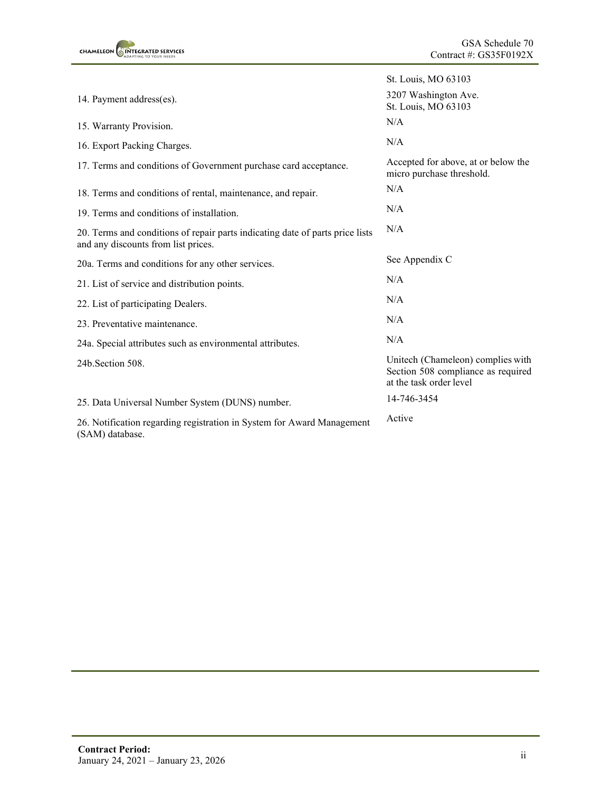

|                                                                                                                      | St. Louis, MO 63103                                                                                |
|----------------------------------------------------------------------------------------------------------------------|----------------------------------------------------------------------------------------------------|
| 14. Payment address(es).                                                                                             | 3207 Washington Ave.<br>St. Louis, MO 63103                                                        |
| 15. Warranty Provision.                                                                                              | N/A                                                                                                |
| 16. Export Packing Charges.                                                                                          | N/A                                                                                                |
| 17. Terms and conditions of Government purchase card acceptance.                                                     | Accepted for above, at or below the<br>micro purchase threshold.                                   |
| 18. Terms and conditions of rental, maintenance, and repair.                                                         | N/A                                                                                                |
| 19. Terms and conditions of installation.                                                                            | N/A                                                                                                |
| 20. Terms and conditions of repair parts indicating date of parts price lists<br>and any discounts from list prices. | N/A                                                                                                |
| 20a. Terms and conditions for any other services.                                                                    | See Appendix C                                                                                     |
| 21. List of service and distribution points.                                                                         | N/A                                                                                                |
| 22. List of participating Dealers.                                                                                   | N/A                                                                                                |
| 23. Preventative maintenance.                                                                                        | N/A                                                                                                |
| 24a. Special attributes such as environmental attributes.                                                            | N/A                                                                                                |
| 24b. Section 508.                                                                                                    | Unitech (Chameleon) complies with<br>Section 508 compliance as required<br>at the task order level |
| 25. Data Universal Number System (DUNS) number.                                                                      | 14-746-3454                                                                                        |
| 26. Notification regarding registration in System for Award Management<br>(SAM) database.                            | Active                                                                                             |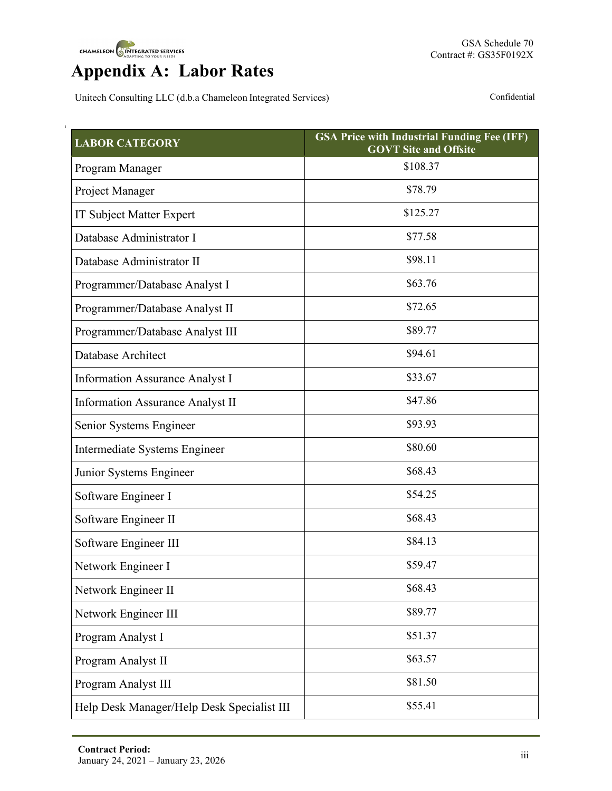

# **Appendix A: Labor Rates**

Unitech Consulting LLC (d.b.a Chameleon Integrated Services) Confidential

| <b>LABOR CATEGORY</b>                      | <b>GSA Price with Industrial Funding Fee (IFF)</b><br><b>GOVT Site and Offsite</b> |
|--------------------------------------------|------------------------------------------------------------------------------------|
| Program Manager                            | \$108.37                                                                           |
| Project Manager                            | \$78.79                                                                            |
| IT Subject Matter Expert                   | \$125.27                                                                           |
| Database Administrator I                   | \$77.58                                                                            |
| Database Administrator II                  | \$98.11                                                                            |
| Programmer/Database Analyst I              | \$63.76                                                                            |
| Programmer/Database Analyst II             | \$72.65                                                                            |
| Programmer/Database Analyst III            | \$89.77                                                                            |
| Database Architect                         | \$94.61                                                                            |
| <b>Information Assurance Analyst I</b>     | \$33.67                                                                            |
| <b>Information Assurance Analyst II</b>    | \$47.86                                                                            |
| Senior Systems Engineer                    | \$93.93                                                                            |
| Intermediate Systems Engineer              | \$80.60                                                                            |
| Junior Systems Engineer                    | \$68.43                                                                            |
| Software Engineer I                        | \$54.25                                                                            |
| Software Engineer II                       | \$68.43                                                                            |
| Software Engineer III                      | \$84.13                                                                            |
| Network Engineer I                         | \$59.47                                                                            |
| Network Engineer II                        | \$68.43                                                                            |
| Network Engineer III                       | \$89.77                                                                            |
| Program Analyst I                          | \$51.37                                                                            |
| Program Analyst II                         | \$63.57                                                                            |
| Program Analyst III                        | \$81.50                                                                            |
| Help Desk Manager/Help Desk Specialist III | \$55.41                                                                            |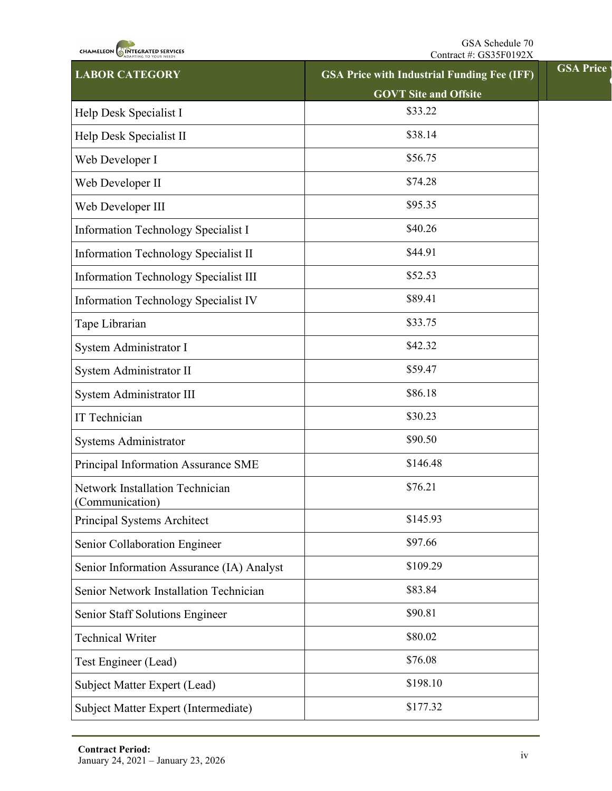**CHAMELEON ONTEGRATED SERVICES** 

GSA Schedule 70 Contract #: GS35F0192X

**G** 

| <b>LABOR CATEGORY</b>                                     | <b>GSA Price with Industrial Funding Fee (IFF)</b> | <b>GSA Price</b> |
|-----------------------------------------------------------|----------------------------------------------------|------------------|
|                                                           | <b>GOVT Site and Offsite</b>                       |                  |
| Help Desk Specialist I                                    | \$33.22                                            |                  |
| Help Desk Specialist II                                   | \$38.14                                            |                  |
| Web Developer I                                           | \$56.75                                            |                  |
| Web Developer II                                          | \$74.28                                            |                  |
| Web Developer III                                         | \$95.35                                            |                  |
| <b>Information Technology Specialist I</b>                | \$40.26                                            |                  |
| Information Technology Specialist II                      | \$44.91                                            |                  |
| <b>Information Technology Specialist III</b>              | \$52.53                                            |                  |
| <b>Information Technology Specialist IV</b>               | \$89.41                                            |                  |
| Tape Librarian                                            | \$33.75                                            |                  |
| System Administrator I                                    | \$42.32                                            |                  |
| System Administrator II                                   | \$59.47                                            |                  |
| System Administrator III                                  | \$86.18                                            |                  |
| <b>IT Technician</b>                                      | \$30.23                                            |                  |
| <b>Systems Administrator</b>                              | \$90.50                                            |                  |
| Principal Information Assurance SME                       | \$146.48                                           |                  |
| <b>Network Installation Technician</b><br>(Communication) | \$76.21                                            |                  |
| Principal Systems Architect                               | \$145.93                                           |                  |
| Senior Collaboration Engineer                             | \$97.66                                            |                  |
| Senior Information Assurance (IA) Analyst                 | \$109.29                                           |                  |
| Senior Network Installation Technician                    | \$83.84                                            |                  |
| Senior Staff Solutions Engineer                           | \$90.81                                            |                  |
| <b>Technical Writer</b>                                   | \$80.02                                            |                  |
| Test Engineer (Lead)                                      | \$76.08                                            |                  |
| Subject Matter Expert (Lead)                              | \$198.10                                           |                  |
| Subject Matter Expert (Intermediate)                      | \$177.32                                           |                  |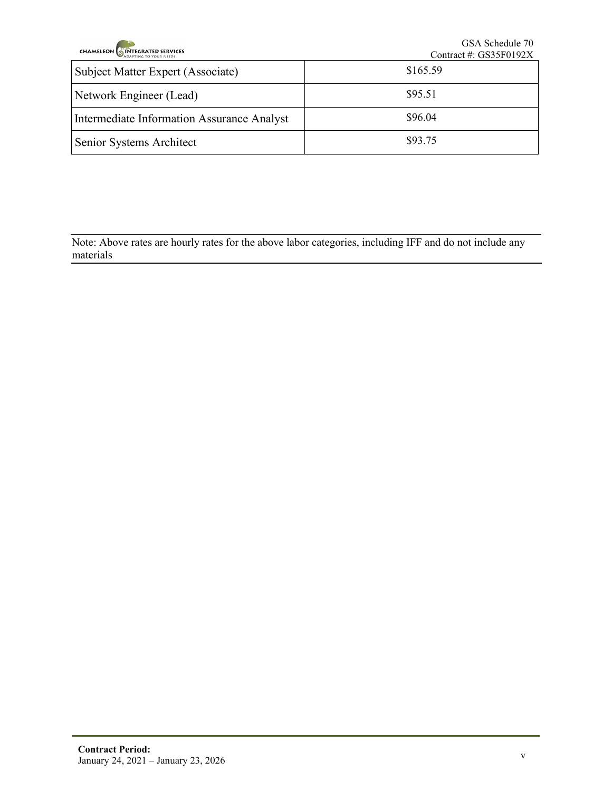| <b>CHAMELEON CHAMELEON</b>                 | GSA Schedule 70<br>Contract #: GS35F0192X |
|--------------------------------------------|-------------------------------------------|
| Subject Matter Expert (Associate)          | \$165.59                                  |
| Network Engineer (Lead)                    | \$95.51                                   |
| Intermediate Information Assurance Analyst | \$96.04                                   |
| Senior Systems Architect                   | \$93.75                                   |

Note: Above rates are hourly rates for the above labor categories, including IFF and do not include any materials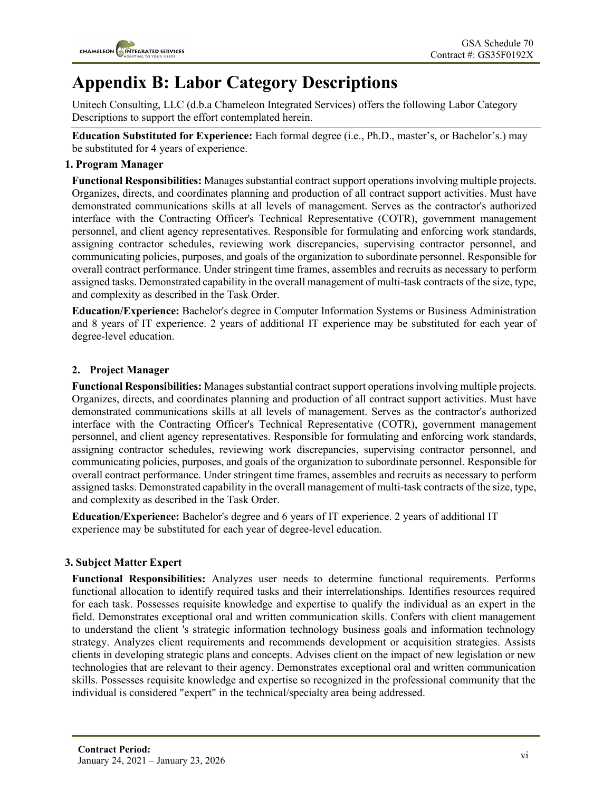

## **Appendix B: Labor Category Descriptions**

Unitech Consulting, LLC (d.b.a Chameleon Integrated Services) offers the following Labor Category Descriptions to support the effort contemplated herein.

**Education Substituted for Experience:** Each formal degree (i.e., Ph.D., master's, or Bachelor's.) may be substituted for 4 years of experience.

### **1. Program Manager**

**Functional Responsibilities:** Manages substantial contract support operations involving multiple projects. Organizes, directs, and coordinates planning and production of all contract support activities. Must have demonstrated communications skills at all levels of management. Serves as the contractor's authorized interface with the Contracting Officer's Technical Representative (COTR), government management personnel, and client agency representatives. Responsible for formulating and enforcing work standards, assigning contractor schedules, reviewing work discrepancies, supervising contractor personnel, and communicating policies, purposes, and goals of the organization to subordinate personnel. Responsible for overall contract performance. Under stringent time frames, assembles and recruits as necessary to perform assigned tasks. Demonstrated capability in the overall management of multi-task contracts of the size, type, and complexity as described in the Task Order.

**Education/Experience:** Bachelor's degree in Computer Information Systems or Business Administration and 8 years of IT experience. 2 years of additional IT experience may be substituted for each year of degree-level education.

### **2. Project Manager**

**Functional Responsibilities:** Manages substantial contract support operations involving multiple projects. Organizes, directs, and coordinates planning and production of all contract support activities. Must have demonstrated communications skills at all levels of management. Serves as the contractor's authorized interface with the Contracting Officer's Technical Representative (COTR), government management personnel, and client agency representatives. Responsible for formulating and enforcing work standards, assigning contractor schedules, reviewing work discrepancies, supervising contractor personnel, and communicating policies, purposes, and goals of the organization to subordinate personnel. Responsible for overall contract performance. Under stringent time frames, assembles and recruits as necessary to perform assigned tasks. Demonstrated capability in the overall management of multi-task contracts of the size, type, and complexity as described in the Task Order.

**Education/Experience:** Bachelor's degree and 6 years of IT experience. 2 years of additional IT experience may be substituted for each year of degree-level education.

## **3. Subject Matter Expert**

**Functional Responsibilities:** Analyzes user needs to determine functional requirements. Performs functional allocation to identify required tasks and their interrelationships. Identifies resources required for each task. Possesses requisite knowledge and expertise to qualify the individual as an expert in the field. Demonstrates exceptional oral and written communication skills. Confers with client management to understand the client 's strategic information technology business goals and information technology strategy. Analyzes client requirements and recommends development or acquisition strategies. Assists clients in developing strategic plans and concepts. Advises client on the impact of new legislation or new technologies that are relevant to their agency. Demonstrates exceptional oral and written communication skills. Possesses requisite knowledge and expertise so recognized in the professional community that the individual is considered "expert" in the technical/specialty area being addressed.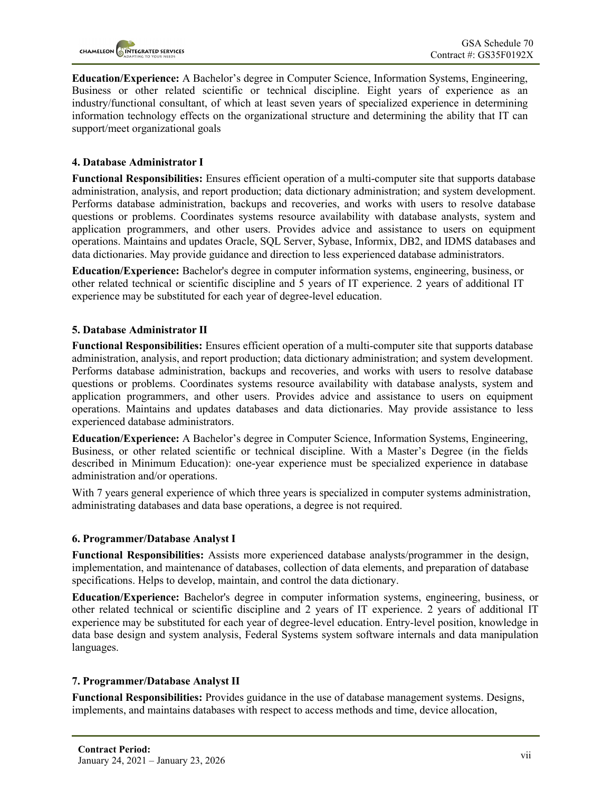

**Education/Experience:** A Bachelor's degree in Computer Science, Information Systems, Engineering, Business or other related scientific or technical discipline. Eight years of experience as an industry/functional consultant, of which at least seven years of specialized experience in determining information technology effects on the organizational structure and determining the ability that IT can support/meet organizational goals

### **4. Database Administrator I**

**Functional Responsibilities:** Ensures efficient operation of a multi-computer site that supports database administration, analysis, and report production; data dictionary administration; and system development. Performs database administration, backups and recoveries, and works with users to resolve database questions or problems. Coordinates systems resource availability with database analysts, system and application programmers, and other users. Provides advice and assistance to users on equipment operations. Maintains and updates Oracle, SQL Server, Sybase, Informix, DB2, and IDMS databases and data dictionaries. May provide guidance and direction to less experienced database administrators.

**Education/Experience:** Bachelor's degree in computer information systems, engineering, business, or other related technical or scientific discipline and 5 years of IT experience. 2 years of additional IT experience may be substituted for each year of degree-level education.

#### **5. Database Administrator II**

**Functional Responsibilities:** Ensures efficient operation of a multi-computer site that supports database administration, analysis, and report production; data dictionary administration; and system development. Performs database administration, backups and recoveries, and works with users to resolve database questions or problems. Coordinates systems resource availability with database analysts, system and application programmers, and other users. Provides advice and assistance to users on equipment operations. Maintains and updates databases and data dictionaries. May provide assistance to less experienced database administrators.

**Education/Experience:** A Bachelor's degree in Computer Science, Information Systems, Engineering, Business, or other related scientific or technical discipline. With a Master's Degree (in the fields described in Minimum Education): one-year experience must be specialized experience in database administration and/or operations.

With 7 years general experience of which three years is specialized in computer systems administration, administrating databases and data base operations, a degree is not required.

#### **6. Programmer/Database Analyst I**

**Functional Responsibilities:** Assists more experienced database analysts/programmer in the design, implementation, and maintenance of databases, collection of data elements, and preparation of database specifications. Helps to develop, maintain, and control the data dictionary.

**Education/Experience:** Bachelor's degree in computer information systems, engineering, business, or other related technical or scientific discipline and 2 years of IT experience. 2 years of additional IT experience may be substituted for each year of degree-level education. Entry-level position, knowledge in data base design and system analysis, Federal Systems system software internals and data manipulation languages.

#### **7. Programmer/Database Analyst II**

**Functional Responsibilities:** Provides guidance in the use of database management systems. Designs, implements, and maintains databases with respect to access methods and time, device allocation,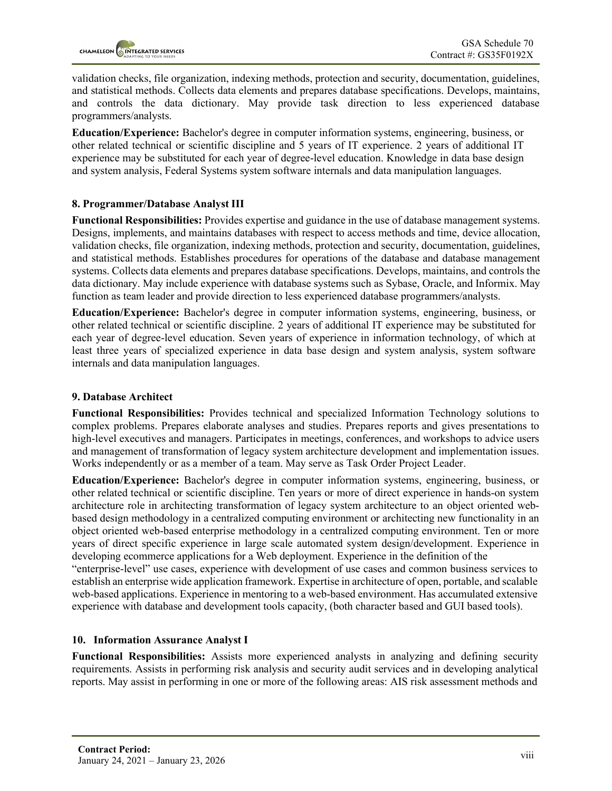validation checks, file organization, indexing methods, protection and security, documentation, guidelines, and statistical methods. Collects data elements and prepares database specifications. Develops, maintains, and controls the data dictionary. May provide task direction to less experienced database programmers/analysts.

**Education/Experience:** Bachelor's degree in computer information systems, engineering, business, or other related technical or scientific discipline and 5 years of IT experience. 2 years of additional IT experience may be substituted for each year of degree-level education. Knowledge in data base design and system analysis, Federal Systems system software internals and data manipulation languages.

## **8. Programmer/Database Analyst III**

**Functional Responsibilities:** Provides expertise and guidance in the use of database management systems. Designs, implements, and maintains databases with respect to access methods and time, device allocation, validation checks, file organization, indexing methods, protection and security, documentation, guidelines, and statistical methods. Establishes procedures for operations of the database and database management systems. Collects data elements and prepares database specifications. Develops, maintains, and controls the data dictionary. May include experience with database systems such as Sybase, Oracle, and Informix. May function as team leader and provide direction to less experienced database programmers/analysts.

**Education/Experience:** Bachelor's degree in computer information systems, engineering, business, or other related technical or scientific discipline. 2 years of additional IT experience may be substituted for each year of degree-level education. Seven years of experience in information technology, of which at least three years of specialized experience in data base design and system analysis, system software internals and data manipulation languages.

#### **9. Database Architect**

**Functional Responsibilities:** Provides technical and specialized Information Technology solutions to complex problems. Prepares elaborate analyses and studies. Prepares reports and gives presentations to high-level executives and managers. Participates in meetings, conferences, and workshops to advice users and management of transformation of legacy system architecture development and implementation issues. Works independently or as a member of a team. May serve as Task Order Project Leader.

**Education/Experience:** Bachelor's degree in computer information systems, engineering, business, or other related technical or scientific discipline. Ten years or more of direct experience in hands-on system architecture role in architecting transformation of legacy system architecture to an object oriented webbased design methodology in a centralized computing environment or architecting new functionality in an object oriented web-based enterprise methodology in a centralized computing environment. Ten or more years of direct specific experience in large scale automated system design/development. Experience in developing ecommerce applications for a Web deployment. Experience in the definition of the

"enterprise-level" use cases, experience with development of use cases and common business services to establish an enterprise wide application framework. Expertise in architecture of open, portable, and scalable web-based applications. Experience in mentoring to a web-based environment. Has accumulated extensive experience with database and development tools capacity, (both character based and GUI based tools).

## **10. Information Assurance Analyst I**

**Functional Responsibilities:** Assists more experienced analysts in analyzing and defining security requirements. Assists in performing risk analysis and security audit services and in developing analytical reports. May assist in performing in one or more of the following areas: AIS risk assessment methods and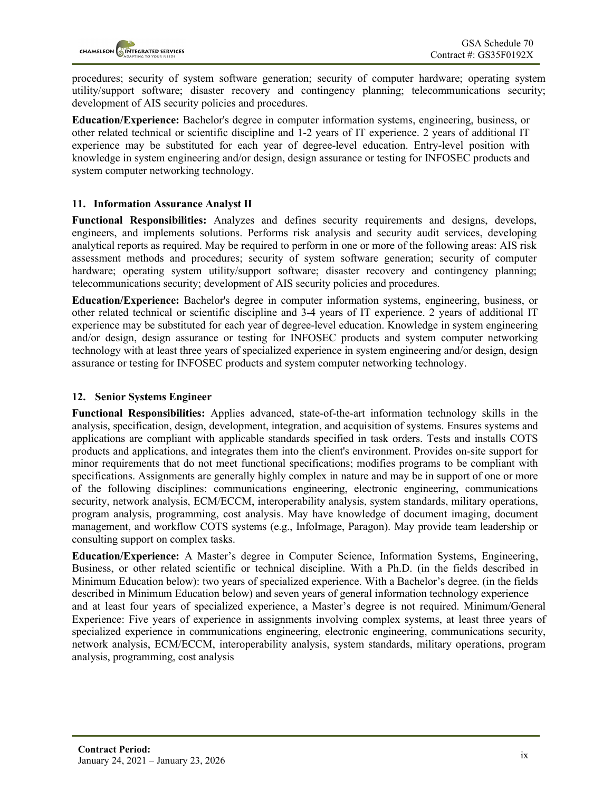procedures; security of system software generation; security of computer hardware; operating system utility/support software; disaster recovery and contingency planning; telecommunications security; development of AIS security policies and procedures.

**Education/Experience:** Bachelor's degree in computer information systems, engineering, business, or other related technical or scientific discipline and 1-2 years of IT experience. 2 years of additional IT experience may be substituted for each year of degree-level education. Entry-level position with knowledge in system engineering and/or design, design assurance or testing for INFOSEC products and system computer networking technology.

#### **11. Information Assurance Analyst II**

**Functional Responsibilities:** Analyzes and defines security requirements and designs, develops, engineers, and implements solutions. Performs risk analysis and security audit services, developing analytical reports as required. May be required to perform in one or more of the following areas: AIS risk assessment methods and procedures; security of system software generation; security of computer hardware; operating system utility/support software; disaster recovery and contingency planning; telecommunications security; development of AIS security policies and procedures.

**Education/Experience:** Bachelor's degree in computer information systems, engineering, business, or other related technical or scientific discipline and 3-4 years of IT experience. 2 years of additional IT experience may be substituted for each year of degree-level education. Knowledge in system engineering and/or design, design assurance or testing for INFOSEC products and system computer networking technology with at least three years of specialized experience in system engineering and/or design, design assurance or testing for INFOSEC products and system computer networking technology.

#### **12. Senior Systems Engineer**

**Functional Responsibilities:** Applies advanced, state-of-the-art information technology skills in the analysis, specification, design, development, integration, and acquisition of systems. Ensures systems and applications are compliant with applicable standards specified in task orders. Tests and installs COTS products and applications, and integrates them into the client's environment. Provides on-site support for minor requirements that do not meet functional specifications; modifies programs to be compliant with specifications. Assignments are generally highly complex in nature and may be in support of one or more of the following disciplines: communications engineering, electronic engineering, communications security, network analysis, ECM/ECCM, interoperability analysis, system standards, military operations, program analysis, programming, cost analysis. May have knowledge of document imaging, document management, and workflow COTS systems (e.g., InfoImage, Paragon). May provide team leadership or consulting support on complex tasks.

**Education/Experience:** A Master's degree in Computer Science, Information Systems, Engineering, Business, or other related scientific or technical discipline. With a Ph.D. (in the fields described in Minimum Education below): two years of specialized experience. With a Bachelor's degree. (in the fields described in Minimum Education below) and seven years of general information technology experience and at least four years of specialized experience, a Master's degree is not required. Minimum/General Experience: Five years of experience in assignments involving complex systems, at least three years of specialized experience in communications engineering, electronic engineering, communications security, network analysis, ECM/ECCM, interoperability analysis, system standards, military operations, program analysis, programming, cost analysis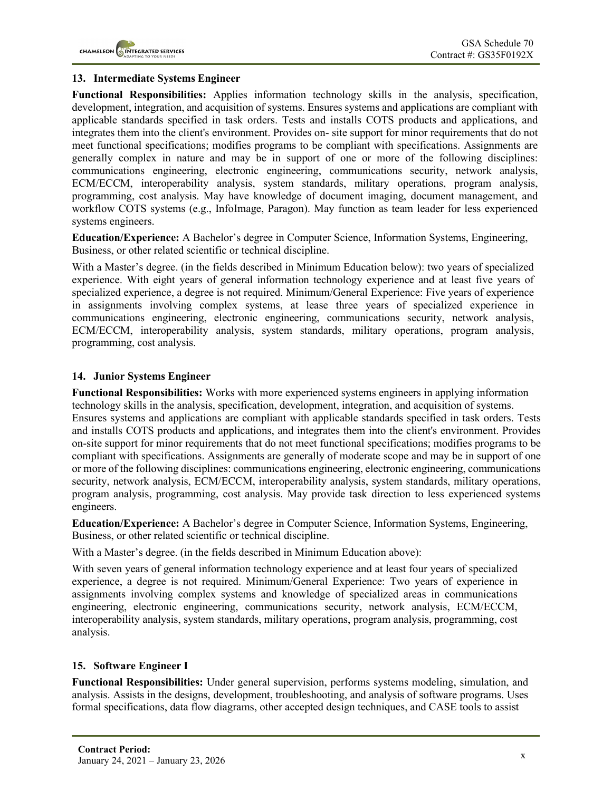#### **13. Intermediate Systems Engineer**

**Functional Responsibilities:** Applies information technology skills in the analysis, specification, development, integration, and acquisition of systems. Ensures systems and applications are compliant with applicable standards specified in task orders. Tests and installs COTS products and applications, and integrates them into the client's environment. Provides on- site support for minor requirements that do not meet functional specifications; modifies programs to be compliant with specifications. Assignments are generally complex in nature and may be in support of one or more of the following disciplines: communications engineering, electronic engineering, communications security, network analysis, ECM/ECCM, interoperability analysis, system standards, military operations, program analysis, programming, cost analysis. May have knowledge of document imaging, document management, and workflow COTS systems (e.g., InfoImage, Paragon). May function as team leader for less experienced systems engineers.

**Education/Experience:** A Bachelor's degree in Computer Science, Information Systems, Engineering, Business, or other related scientific or technical discipline.

With a Master's degree. (in the fields described in Minimum Education below): two years of specialized experience. With eight years of general information technology experience and at least five years of specialized experience, a degree is not required. Minimum/General Experience: Five years of experience in assignments involving complex systems, at lease three years of specialized experience in communications engineering, electronic engineering, communications security, network analysis, ECM/ECCM, interoperability analysis, system standards, military operations, program analysis, programming, cost analysis.

### **14. Junior Systems Engineer**

**Functional Responsibilities:** Works with more experienced systems engineers in applying information technology skills in the analysis, specification, development, integration, and acquisition of systems. Ensures systems and applications are compliant with applicable standards specified in task orders. Tests

and installs COTS products and applications, and integrates them into the client's environment. Provides on-site support for minor requirements that do not meet functional specifications; modifies programs to be compliant with specifications. Assignments are generally of moderate scope and may be in support of one or more of the following disciplines: communications engineering, electronic engineering, communications security, network analysis, ECM/ECCM, interoperability analysis, system standards, military operations, program analysis, programming, cost analysis. May provide task direction to less experienced systems engineers.

**Education/Experience:** A Bachelor's degree in Computer Science, Information Systems, Engineering, Business, or other related scientific or technical discipline.

With a Master's degree. (in the fields described in Minimum Education above):

With seven years of general information technology experience and at least four years of specialized experience, a degree is not required. Minimum/General Experience: Two years of experience in assignments involving complex systems and knowledge of specialized areas in communications engineering, electronic engineering, communications security, network analysis, ECM/ECCM, interoperability analysis, system standards, military operations, program analysis, programming, cost analysis.

## **15. Software Engineer I**

**Functional Responsibilities:** Under general supervision, performs systems modeling, simulation, and analysis. Assists in the designs, development, troubleshooting, and analysis of software programs. Uses formal specifications, data flow diagrams, other accepted design techniques, and CASE tools to assist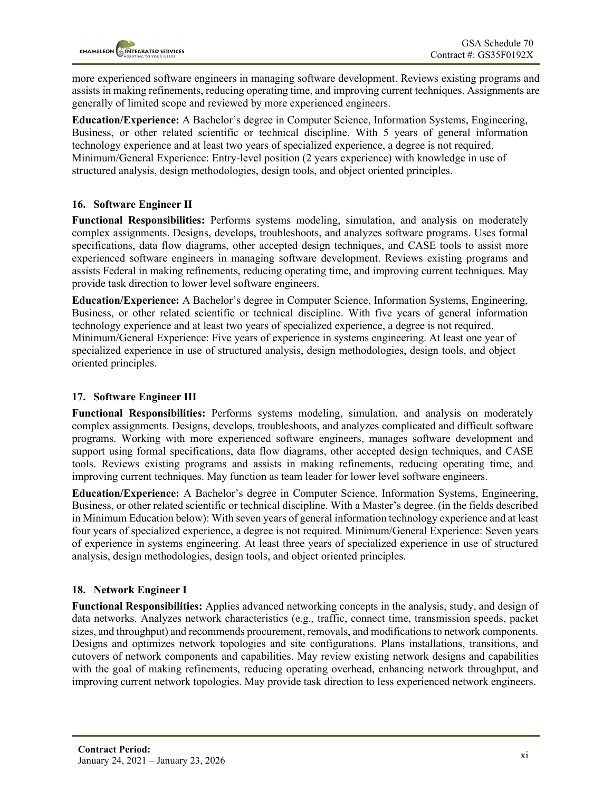more experienced software engineers in managing software development. Reviews existing programs and assists in making refinements, reducing operating time, and improving current techniques. Assignments are generally of limited scope and reviewed by more experienced engineers.

**Education/Experience:** A Bachelor's degree in Computer Science, Information Systems, Engineering, Business, or other related scientific or technical discipline. With 5 years of general information technology experience and at least two years of specialized experience, a degree is not required. Minimum/General Experience: Entry-level position (2 years experience) with knowledge in use of structured analysis, design methodologies, design tools, and object oriented principles.

### **16. Software Engineer II**

**Functional Responsibilities:** Performs systems modeling, simulation, and analysis on moderately complex assignments. Designs, develops, troubleshoots, and analyzes software programs. Uses formal specifications, data flow diagrams, other accepted design techniques, and CASE tools to assist more experienced software engineers in managing software development. Reviews existing programs and assists Federal in making refinements, reducing operating time, and improving current techniques. May provide task direction to lower level software engineers.

**Education/Experience:** A Bachelor's degree in Computer Science, Information Systems, Engineering, Business, or other related scientific or technical discipline. With five years of general information technology experience and at least two years of specialized experience, a degree is not required. Minimum/General Experience: Five years of experience in systems engineering. At least one year of specialized experience in use of structured analysis, design methodologies, design tools, and object oriented principles.

#### **17. Software Engineer III**

**Functional Responsibilities:** Performs systems modeling, simulation, and analysis on moderately complex assignments. Designs, develops, troubleshoots, and analyzes complicated and difficult software programs. Working with more experienced software engineers, manages software development and support using formal specifications, data flow diagrams, other accepted design techniques, and CASE tools. Reviews existing programs and assists in making refinements, reducing operating time, and improving current techniques. May function as team leader for lower level software engineers.

**Education/Experience:** A Bachelor's degree in Computer Science, Information Systems, Engineering, Business, or other related scientific or technical discipline. With a Master's degree. (in the fields described in Minimum Education below): With seven years of general information technology experience and at least four years of specialized experience, a degree is not required. Minimum/General Experience: Seven years of experience in systems engineering. At least three years of specialized experience in use of structured analysis, design methodologies, design tools, and object oriented principles.

## **18. Network Engineer I**

**Functional Responsibilities:** Applies advanced networking concepts in the analysis, study, and design of data networks. Analyzes network characteristics (e.g., traffic, connect time, transmission speeds, packet sizes, and throughput) and recommends procurement, removals, and modifications to network components. Designs and optimizes network topologies and site configurations. Plans installations, transitions, and cutovers of network components and capabilities. May review existing network designs and capabilities with the goal of making refinements, reducing operating overhead, enhancing network throughput, and improving current network topologies. May provide task direction to less experienced network engineers.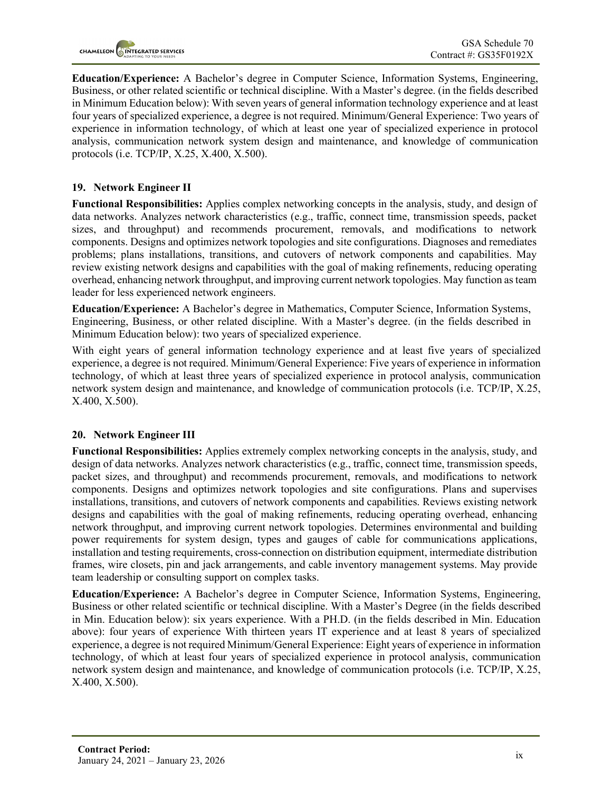

**Education/Experience:** A Bachelor's degree in Computer Science, Information Systems, Engineering, Business, or other related scientific or technical discipline. With a Master's degree. (in the fields described in Minimum Education below): With seven years of general information technology experience and at least four years of specialized experience, a degree is not required. Minimum/General Experience: Two years of experience in information technology, of which at least one year of specialized experience in protocol analysis, communication network system design and maintenance, and knowledge of communication protocols (i.e. TCP/IP, X.25, X.400, X.500).

### **19. Network Engineer II**

**Functional Responsibilities:** Applies complex networking concepts in the analysis, study, and design of data networks. Analyzes network characteristics (e.g., traffic, connect time, transmission speeds, packet sizes, and throughput) and recommends procurement, removals, and modifications to network components. Designs and optimizes network topologies and site configurations. Diagnoses and remediates problems; plans installations, transitions, and cutovers of network components and capabilities. May review existing network designs and capabilities with the goal of making refinements, reducing operating overhead, enhancing network throughput, and improving current network topologies. May function as team leader for less experienced network engineers.

**Education/Experience:** A Bachelor's degree in Mathematics, Computer Science, Information Systems, Engineering, Business, or other related discipline. With a Master's degree. (in the fields described in Minimum Education below): two years of specialized experience.

With eight years of general information technology experience and at least five years of specialized experience, a degree is not required. Minimum/General Experience: Five years of experience in information technology, of which at least three years of specialized experience in protocol analysis, communication network system design and maintenance, and knowledge of communication protocols (i.e. TCP/IP, X.25, X.400, X.500).

#### **20. Network Engineer III**

**Functional Responsibilities:** Applies extremely complex networking concepts in the analysis, study, and design of data networks. Analyzes network characteristics (e.g., traffic, connect time, transmission speeds, packet sizes, and throughput) and recommends procurement, removals, and modifications to network components. Designs and optimizes network topologies and site configurations. Plans and supervises installations, transitions, and cutovers of network components and capabilities. Reviews existing network designs and capabilities with the goal of making refinements, reducing operating overhead, enhancing network throughput, and improving current network topologies. Determines environmental and building power requirements for system design, types and gauges of cable for communications applications, installation and testing requirements, cross-connection on distribution equipment, intermediate distribution frames, wire closets, pin and jack arrangements, and cable inventory management systems. May provide team leadership or consulting support on complex tasks.

**Education/Experience:** A Bachelor's degree in Computer Science, Information Systems, Engineering, Business or other related scientific or technical discipline. With a Master's Degree (in the fields described in Min. Education below): six years experience. With a PH.D. (in the fields described in Min. Education above): four years of experience With thirteen years IT experience and at least 8 years of specialized experience, a degree is not required Minimum/General Experience: Eight years of experience in information technology, of which at least four years of specialized experience in protocol analysis, communication network system design and maintenance, and knowledge of communication protocols (i.e. TCP/IP, X.25, X.400, X.500).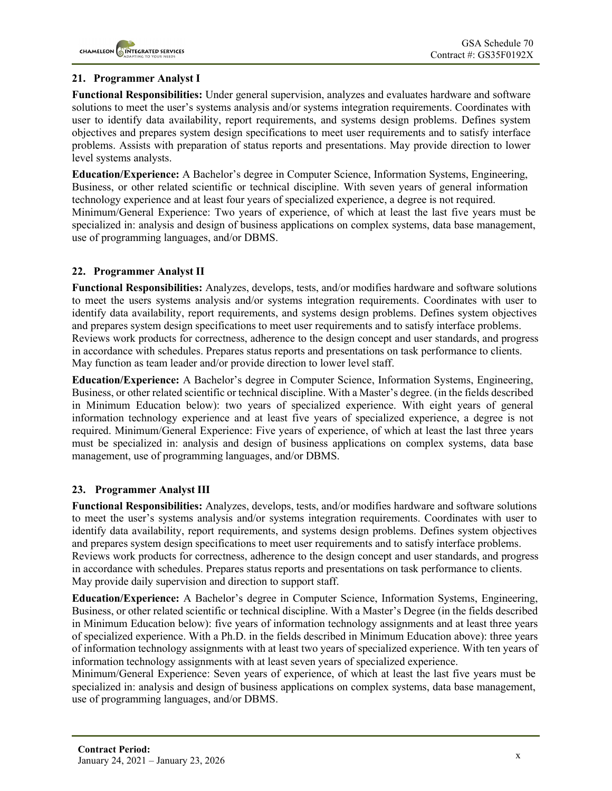### **21. Programmer Analyst I**

**Functional Responsibilities:** Under general supervision, analyzes and evaluates hardware and software solutions to meet the user's systems analysis and/or systems integration requirements. Coordinates with user to identify data availability, report requirements, and systems design problems. Defines system objectives and prepares system design specifications to meet user requirements and to satisfy interface problems. Assists with preparation of status reports and presentations. May provide direction to lower level systems analysts.

**Education/Experience:** A Bachelor's degree in Computer Science, Information Systems, Engineering, Business, or other related scientific or technical discipline. With seven years of general information technology experience and at least four years of specialized experience, a degree is not required. Minimum/General Experience: Two years of experience, of which at least the last five years must be specialized in: analysis and design of business applications on complex systems, data base management, use of programming languages, and/or DBMS.

## **22. Programmer Analyst II**

**Functional Responsibilities:** Analyzes, develops, tests, and/or modifies hardware and software solutions to meet the users systems analysis and/or systems integration requirements. Coordinates with user to identify data availability, report requirements, and systems design problems. Defines system objectives and prepares system design specifications to meet user requirements and to satisfy interface problems. Reviews work products for correctness, adherence to the design concept and user standards, and progress in accordance with schedules. Prepares status reports and presentations on task performance to clients. May function as team leader and/or provide direction to lower level staff.

**Education/Experience:** A Bachelor's degree in Computer Science, Information Systems, Engineering, Business, or other related scientific or technical discipline. With a Master's degree. (in the fields described in Minimum Education below): two years of specialized experience. With eight years of general information technology experience and at least five years of specialized experience, a degree is not required. Minimum/General Experience: Five years of experience, of which at least the last three years must be specialized in: analysis and design of business applications on complex systems, data base management, use of programming languages, and/or DBMS.

## **23. Programmer Analyst III**

**Functional Responsibilities:** Analyzes, develops, tests, and/or modifies hardware and software solutions to meet the user's systems analysis and/or systems integration requirements. Coordinates with user to identify data availability, report requirements, and systems design problems. Defines system objectives and prepares system design specifications to meet user requirements and to satisfy interface problems. Reviews work products for correctness, adherence to the design concept and user standards, and progress in accordance with schedules. Prepares status reports and presentations on task performance to clients. May provide daily supervision and direction to support staff.

**Education/Experience:** A Bachelor's degree in Computer Science, Information Systems, Engineering, Business, or other related scientific or technical discipline. With a Master's Degree (in the fields described in Minimum Education below): five years of information technology assignments and at least three years of specialized experience. With a Ph.D. in the fields described in Minimum Education above): three years of information technology assignments with at least two years of specialized experience. With ten years of information technology assignments with at least seven years of specialized experience.

Minimum/General Experience: Seven years of experience, of which at least the last five years must be specialized in: analysis and design of business applications on complex systems, data base management, use of programming languages, and/or DBMS.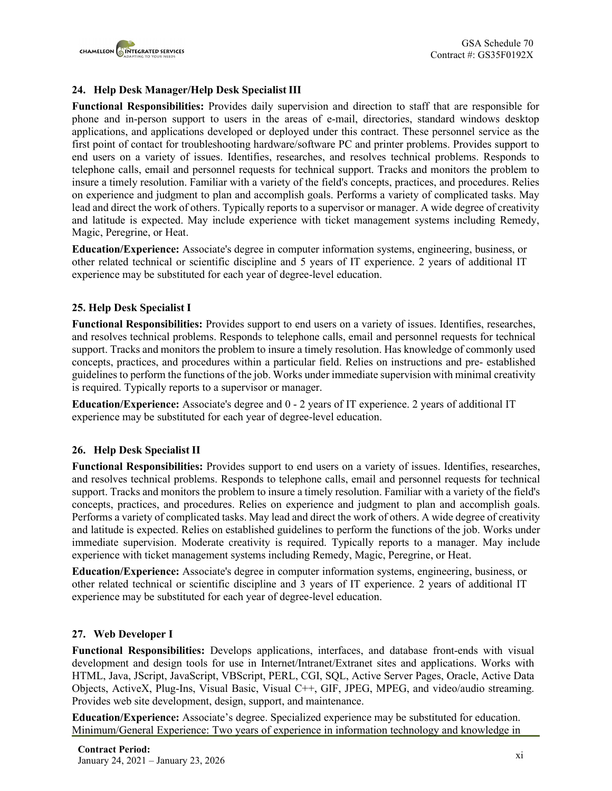

#### **24. Help Desk Manager/Help Desk SpecialistIII**

**Functional Responsibilities:** Provides daily supervision and direction to staff that are responsible for phone and in-person support to users in the areas of e-mail, directories, standard windows desktop applications, and applications developed or deployed under this contract. These personnel service as the first point of contact for troubleshooting hardware/software PC and printer problems. Provides support to end users on a variety of issues. Identifies, researches, and resolves technical problems. Responds to telephone calls, email and personnel requests for technical support. Tracks and monitors the problem to insure a timely resolution. Familiar with a variety of the field's concepts, practices, and procedures. Relies on experience and judgment to plan and accomplish goals. Performs a variety of complicated tasks. May lead and direct the work of others. Typically reports to a supervisor or manager. A wide degree of creativity and latitude is expected. May include experience with ticket management systems including Remedy, Magic, Peregrine, or Heat.

**Education/Experience:** Associate's degree in computer information systems, engineering, business, or other related technical or scientific discipline and 5 years of IT experience. 2 years of additional IT experience may be substituted for each year of degree-level education.

#### **25. Help Desk Specialist I**

**Functional Responsibilities:** Provides support to end users on a variety of issues. Identifies, researches, and resolves technical problems. Responds to telephone calls, email and personnel requests for technical support. Tracks and monitors the problem to insure a timely resolution. Has knowledge of commonly used concepts, practices, and procedures within a particular field. Relies on instructions and pre- established guidelines to perform the functions of the job. Works under immediate supervision with minimal creativity is required. Typically reports to a supervisor or manager.

**Education/Experience:** Associate's degree and 0 - 2 years of IT experience. 2 years of additional IT experience may be substituted for each year of degree-level education.

## **26. Help Desk Specialist II**

**Functional Responsibilities:** Provides support to end users on a variety of issues. Identifies, researches, and resolves technical problems. Responds to telephone calls, email and personnel requests for technical support. Tracks and monitors the problem to insure a timely resolution. Familiar with a variety of the field's concepts, practices, and procedures. Relies on experience and judgment to plan and accomplish goals. Performs a variety of complicated tasks. May lead and direct the work of others. A wide degree of creativity and latitude is expected. Relies on established guidelines to perform the functions of the job. Works under immediate supervision. Moderate creativity is required. Typically reports to a manager. May include experience with ticket management systems including Remedy, Magic, Peregrine, or Heat.

**Education/Experience:** Associate's degree in computer information systems, engineering, business, or other related technical or scientific discipline and 3 years of IT experience. 2 years of additional IT experience may be substituted for each year of degree-level education.

#### **27. Web Developer I**

**Functional Responsibilities:** Develops applications, interfaces, and database front-ends with visual development and design tools for use in Internet/Intranet/Extranet sites and applications. Works with HTML, Java, JScript, JavaScript, VBScript, PERL, CGI, SQL, Active Server Pages, Oracle, Active Data Objects, ActiveX, Plug-Ins, Visual Basic, Visual C++, GIF, JPEG, MPEG, and video/audio streaming. Provides web site development, design, support, and maintenance.

**Education/Experience:** Associate's degree. Specialized experience may be substituted for education. Minimum/General Experience: Two years of experience in information technology and knowledge in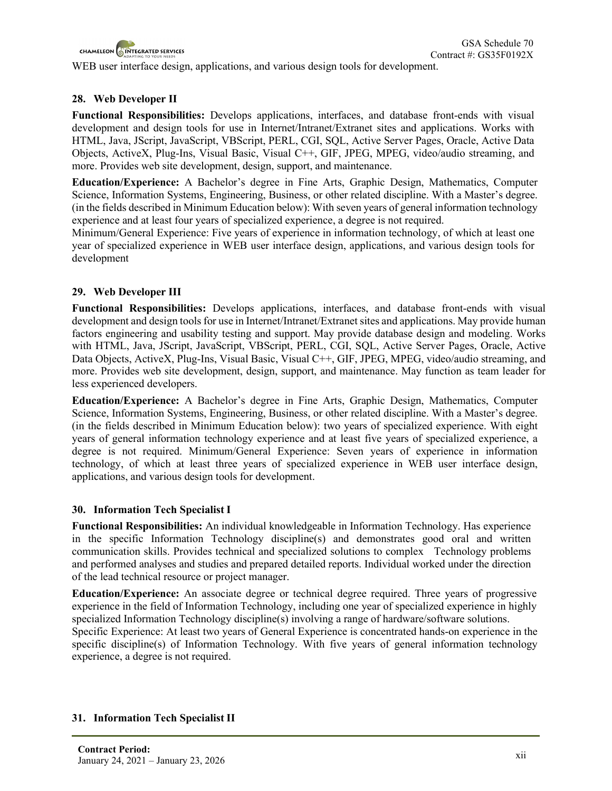

WEB user interface design, applications, and various design tools for development.

## **28. Web Developer II**

**Functional Responsibilities:** Develops applications, interfaces, and database front-ends with visual development and design tools for use in Internet/Intranet/Extranet sites and applications. Works with HTML, Java, JScript, JavaScript, VBScript, PERL, CGI, SQL, Active Server Pages, Oracle, Active Data Objects, ActiveX, Plug-Ins, Visual Basic, Visual C++, GIF, JPEG, MPEG, video/audio streaming, and more. Provides web site development, design, support, and maintenance.

**Education/Experience:** A Bachelor's degree in Fine Arts, Graphic Design, Mathematics, Computer Science, Information Systems, Engineering, Business, or other related discipline. With a Master's degree. (in the fields described in Minimum Education below): With seven years of general information technology experience and at least four years of specialized experience, a degree is not required.

Minimum/General Experience: Five years of experience in information technology, of which at least one year of specialized experience in WEB user interface design, applications, and various design tools for development

#### **29. Web Developer III**

**Functional Responsibilities:** Develops applications, interfaces, and database front-ends with visual development and design tools for use in Internet/Intranet/Extranet sites and applications. May provide human factors engineering and usability testing and support. May provide database design and modeling. Works with HTML, Java, JScript, JavaScript, VBScript, PERL, CGI, SQL, Active Server Pages, Oracle, Active Data Objects, ActiveX, Plug-Ins, Visual Basic, Visual C++, GIF, JPEG, MPEG, video/audio streaming, and more. Provides web site development, design, support, and maintenance. May function as team leader for less experienced developers.

**Education/Experience:** A Bachelor's degree in Fine Arts, Graphic Design, Mathematics, Computer Science, Information Systems, Engineering, Business, or other related discipline. With a Master's degree. (in the fields described in Minimum Education below): two years of specialized experience. With eight years of general information technology experience and at least five years of specialized experience, a degree is not required. Minimum/General Experience: Seven years of experience in information technology, of which at least three years of specialized experience in WEB user interface design, applications, and various design tools for development.

#### **30. Information Tech Specialist I**

**Functional Responsibilities:** An individual knowledgeable in Information Technology. Has experience in the specific Information Technology discipline(s) and demonstrates good oral and written communication skills. Provides technical and specialized solutions to complex Technology problems and performed analyses and studies and prepared detailed reports. Individual worked under the direction of the lead technical resource or project manager.

**Education/Experience:** An associate degree or technical degree required. Three years of progressive experience in the field of Information Technology, including one year of specialized experience in highly specialized Information Technology discipline(s) involving a range of hardware/software solutions.

Specific Experience: At least two years of General Experience is concentrated hands-on experience in the specific discipline(s) of Information Technology. With five years of general information technology experience, a degree is not required.

#### **31. Information Tech Specialist II**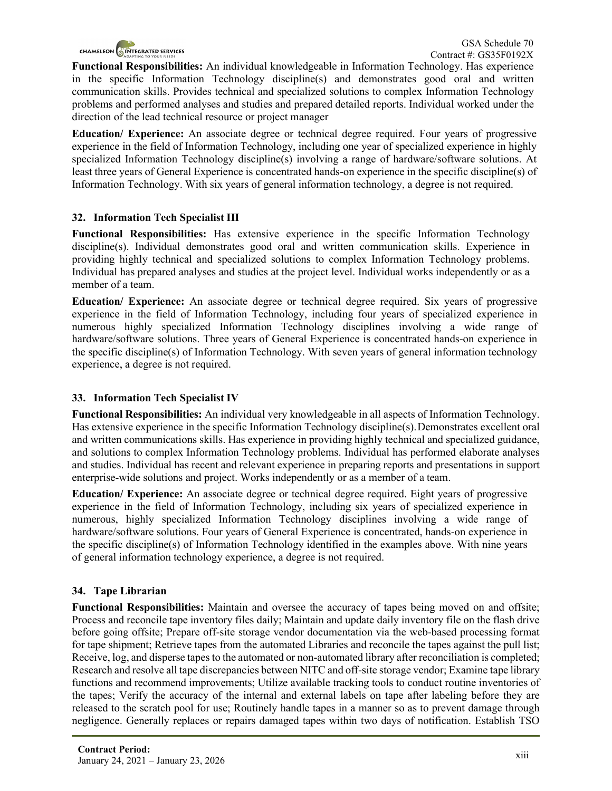**Functional Responsibilities:** An individual knowledgeable in Information Technology. Has experience in the specific Information Technology discipline(s) and demonstrates good oral and written communication skills. Provides technical and specialized solutions to complex Information Technology problems and performed analyses and studies and prepared detailed reports. Individual worked under the direction of the lead technical resource or project manager

**Education/ Experience:** An associate degree or technical degree required. Four years of progressive experience in the field of Information Technology, including one year of specialized experience in highly specialized Information Technology discipline(s) involving a range of hardware/software solutions. At least three years of General Experience is concentrated hands-on experience in the specific discipline(s) of Information Technology. With six years of general information technology, a degree is not required.

## **32. Information Tech Specialist III**

**Functional Responsibilities:** Has extensive experience in the specific Information Technology discipline(s). Individual demonstrates good oral and written communication skills. Experience in providing highly technical and specialized solutions to complex Information Technology problems. Individual has prepared analyses and studies at the project level. Individual works independently or as a member of a team.

**Education/ Experience:** An associate degree or technical degree required. Six years of progressive experience in the field of Information Technology, including four years of specialized experience in numerous highly specialized Information Technology disciplines involving a wide range of hardware/software solutions. Three years of General Experience is concentrated hands-on experience in the specific discipline(s) of Information Technology. With seven years of general information technology experience, a degree is not required.

## **33. Information Tech Specialist IV**

**Functional Responsibilities:** An individual very knowledgeable in all aspects of Information Technology. Has extensive experience in the specific Information Technology discipline(s).Demonstrates excellent oral and written communications skills. Has experience in providing highly technical and specialized guidance, and solutions to complex Information Technology problems. Individual has performed elaborate analyses and studies. Individual has recent and relevant experience in preparing reports and presentations in support enterprise-wide solutions and project. Works independently or as a member of a team.

**Education/ Experience:** An associate degree or technical degree required. Eight years of progressive experience in the field of Information Technology, including six years of specialized experience in numerous, highly specialized Information Technology disciplines involving a wide range of hardware/software solutions. Four years of General Experience is concentrated, hands-on experience in the specific discipline(s) of Information Technology identified in the examples above. With nine years of general information technology experience, a degree is not required.

## **34. Tape Librarian**

**Functional Responsibilities:** Maintain and oversee the accuracy of tapes being moved on and offsite; Process and reconcile tape inventory files daily; Maintain and update daily inventory file on the flash drive before going offsite; Prepare off-site storage vendor documentation via the web-based processing format for tape shipment; Retrieve tapes from the automated Libraries and reconcile the tapes against the pull list; Receive, log, and disperse tapes to the automated or non-automated library after reconciliation is completed; Research and resolve all tape discrepancies between NITC and off-site storage vendor; Examine tape library functions and recommend improvements; Utilize available tracking tools to conduct routine inventories of the tapes; Verify the accuracy of the internal and external labels on tape after labeling before they are released to the scratch pool for use; Routinely handle tapes in a manner so as to prevent damage through negligence. Generally replaces or repairs damaged tapes within two days of notification. Establish TSO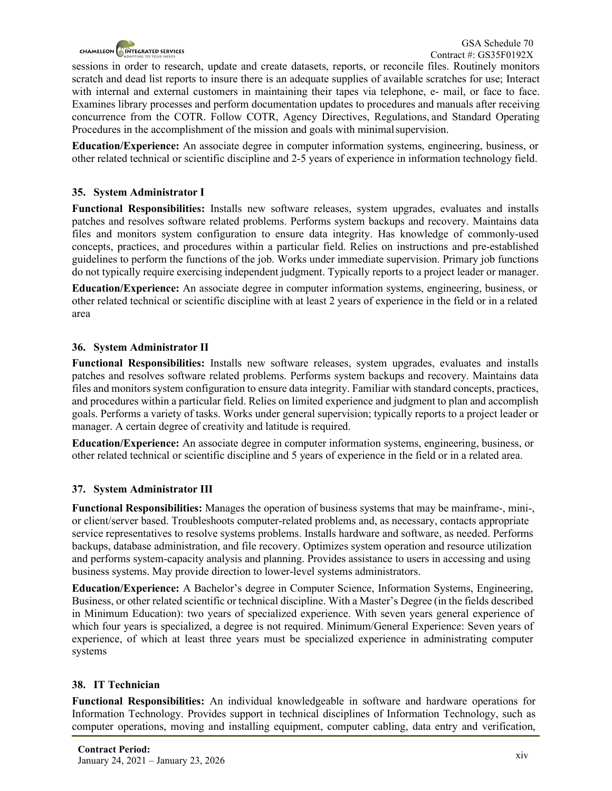

sessions in order to research, update and create datasets, reports, or reconcile files. Routinely monitors scratch and dead list reports to insure there is an adequate supplies of available scratches for use; Interact with internal and external customers in maintaining their tapes via telephone, e- mail, or face to face. Examines library processes and perform documentation updates to procedures and manuals after receiving concurrence from the COTR. Follow COTR, Agency Directives, Regulations, and Standard Operating Procedures in the accomplishment of the mission and goals with minimalsupervision.

**Education/Experience:** An associate degree in computer information systems, engineering, business, or other related technical or scientific discipline and 2-5 years of experience in information technology field.

#### **35. System Administrator I**

**Functional Responsibilities:** Installs new software releases, system upgrades, evaluates and installs patches and resolves software related problems. Performs system backups and recovery. Maintains data files and monitors system configuration to ensure data integrity. Has knowledge of commonly-used concepts, practices, and procedures within a particular field. Relies on instructions and pre-established guidelines to perform the functions of the job. Works under immediate supervision. Primary job functions do not typically require exercising independent judgment. Typically reports to a project leader or manager.

**Education/Experience:** An associate degree in computer information systems, engineering, business, or other related technical or scientific discipline with at least 2 years of experience in the field or in a related area

#### **36. System Administrator II**

**Functional Responsibilities:** Installs new software releases, system upgrades, evaluates and installs patches and resolves software related problems. Performs system backups and recovery. Maintains data files and monitors system configuration to ensure data integrity. Familiar with standard concepts, practices, and procedures within a particular field. Relies on limited experience and judgment to plan and accomplish goals. Performs a variety of tasks. Works under general supervision; typically reports to a project leader or manager. A certain degree of creativity and latitude is required.

**Education/Experience:** An associate degree in computer information systems, engineering, business, or other related technical or scientific discipline and 5 years of experience in the field or in a related area.

## **37. System Administrator III**

**Functional Responsibilities:** Manages the operation of business systems that may be mainframe-, mini-, or client/server based. Troubleshoots computer-related problems and, as necessary, contacts appropriate service representatives to resolve systems problems. Installs hardware and software, as needed. Performs backups, database administration, and file recovery. Optimizes system operation and resource utilization and performs system-capacity analysis and planning. Provides assistance to users in accessing and using business systems. May provide direction to lower-level systems administrators.

**Education/Experience:** A Bachelor's degree in Computer Science, Information Systems, Engineering, Business, or other related scientific or technical discipline. With a Master's Degree (in the fields described in Minimum Education): two years of specialized experience. With seven years general experience of which four years is specialized, a degree is not required. Minimum/General Experience: Seven years of experience, of which at least three years must be specialized experience in administrating computer systems

#### **38. IT Technician**

**Functional Responsibilities:** An individual knowledgeable in software and hardware operations for Information Technology. Provides support in technical disciplines of Information Technology, such as computer operations, moving and installing equipment, computer cabling, data entry and verification,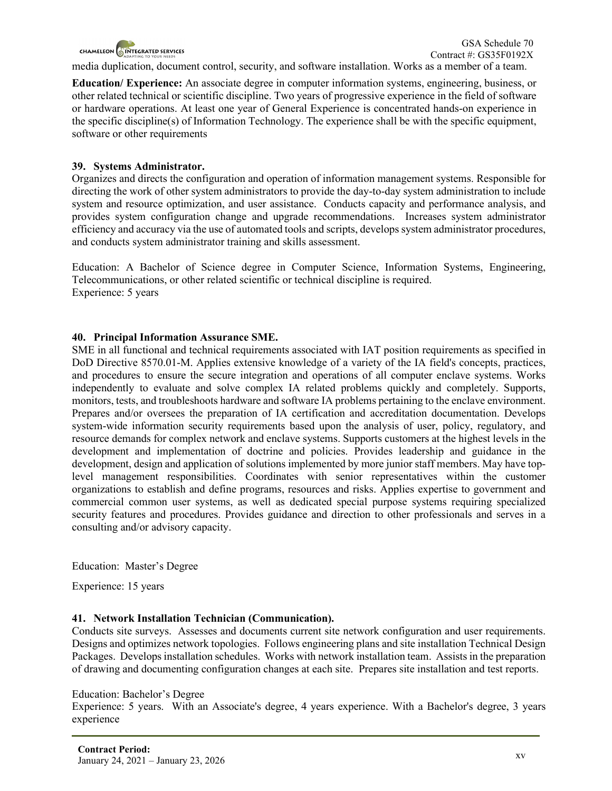

media duplication, document control, security, and software installation. Works as a member of a team.

**Education/ Experience:** An associate degree in computer information systems, engineering, business, or other related technical or scientific discipline. Two years of progressive experience in the field of software or hardware operations. At least one year of General Experience is concentrated hands-on experience in the specific discipline(s) of Information Technology. The experience shall be with the specific equipment, software or other requirements

#### **39. Systems Administrator.**

Organizes and directs the configuration and operation of information management systems. Responsible for directing the work of other system administrators to provide the day-to-day system administration to include system and resource optimization, and user assistance. Conducts capacity and performance analysis, and provides system configuration change and upgrade recommendations. Increases system administrator efficiency and accuracy via the use of automated tools and scripts, develops system administrator procedures, and conducts system administrator training and skills assessment.

Education: A Bachelor of Science degree in Computer Science, Information Systems, Engineering, Telecommunications, or other related scientific or technical discipline is required. Experience: 5 years

#### **40. Principal Information Assurance SME.**

SME in all functional and technical requirements associated with IAT position requirements as specified in DoD Directive 8570.01-M. Applies extensive knowledge of a variety of the IA field's concepts, practices, and procedures to ensure the secure integration and operations of all computer enclave systems. Works independently to evaluate and solve complex IA related problems quickly and completely. Supports, monitors, tests, and troubleshoots hardware and software IA problems pertaining to the enclave environment. Prepares and/or oversees the preparation of IA certification and accreditation documentation. Develops system-wide information security requirements based upon the analysis of user, policy, regulatory, and resource demands for complex network and enclave systems. Supports customers at the highest levels in the development and implementation of doctrine and policies. Provides leadership and guidance in the development, design and application of solutions implemented by more junior staff members. May have toplevel management responsibilities. Coordinates with senior representatives within the customer organizations to establish and define programs, resources and risks. Applies expertise to government and commercial common user systems, as well as dedicated special purpose systems requiring specialized security features and procedures. Provides guidance and direction to other professionals and serves in a consulting and/or advisory capacity.

Education: Master's Degree

Experience: 15 years

#### **41. Network Installation Technician (Communication).**

Conducts site surveys. Assesses and documents current site network configuration and user requirements. Designs and optimizes network topologies. Follows engineering plans and site installation Technical Design Packages. Develops installation schedules. Works with network installation team. Assists in the preparation of drawing and documenting configuration changes at each site. Prepares site installation and test reports.

#### Education: Bachelor's Degree

Experience: 5 years. With an Associate's degree, 4 years experience. With a Bachelor's degree, 3 years experience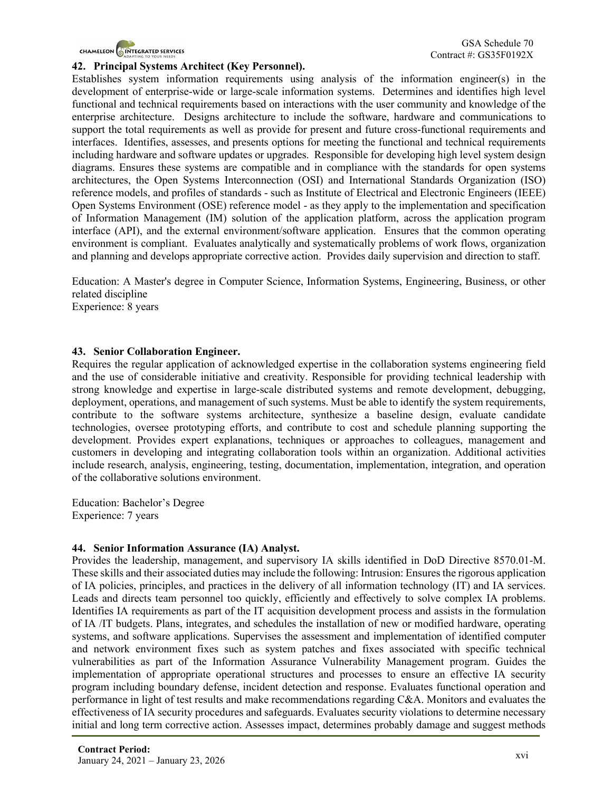

#### **42. Principal Systems Architect (Key Personnel).**

Establishes system information requirements using analysis of the information engineer(s) in the development of enterprise-wide or large-scale information systems. Determines and identifies high level functional and technical requirements based on interactions with the user community and knowledge of the enterprise architecture. Designs architecture to include the software, hardware and communications to support the total requirements as well as provide for present and future cross-functional requirements and interfaces. Identifies, assesses, and presents options for meeting the functional and technical requirements including hardware and software updates or upgrades. Responsible for developing high level system design diagrams. Ensures these systems are compatible and in compliance with the standards for open systems architectures, the Open Systems Interconnection (OSI) and International Standards Organization (ISO) reference models, and profiles of standards - such as Institute of Electrical and Electronic Engineers (IEEE) Open Systems Environment (OSE) reference model - as they apply to the implementation and specification of Information Management (IM) solution of the application platform, across the application program interface (API), and the external environment/software application. Ensures that the common operating environment is compliant. Evaluates analytically and systematically problems of work flows, organization and planning and develops appropriate corrective action. Provides daily supervision and direction to staff.

Education: A Master's degree in Computer Science, Information Systems, Engineering, Business, or other related discipline

Experience: 8 years

#### **43. Senior Collaboration Engineer.**

Requires the regular application of acknowledged expertise in the collaboration systems engineering field and the use of considerable initiative and creativity. Responsible for providing technical leadership with strong knowledge and expertise in large-scale distributed systems and remote development, debugging, deployment, operations, and management of such systems. Must be able to identify the system requirements, contribute to the software systems architecture, synthesize a baseline design, evaluate candidate technologies, oversee prototyping efforts, and contribute to cost and schedule planning supporting the development. Provides expert explanations, techniques or approaches to colleagues, management and customers in developing and integrating collaboration tools within an organization. Additional activities include research, analysis, engineering, testing, documentation, implementation, integration, and operation of the collaborative solutions environment.

Education: Bachelor's Degree Experience: 7 years

#### **44. Senior Information Assurance (IA) Analyst.**

Provides the leadership, management, and supervisory IA skills identified in DoD Directive 8570.01-M. These skills and their associated duties may include the following: Intrusion: Ensures the rigorous application of IA policies, principles, and practices in the delivery of all information technology (IT) and IA services. Leads and directs team personnel too quickly, efficiently and effectively to solve complex IA problems. Identifies IA requirements as part of the IT acquisition development process and assists in the formulation of IA /IT budgets. Plans, integrates, and schedules the installation of new or modified hardware, operating systems, and software applications. Supervises the assessment and implementation of identified computer and network environment fixes such as system patches and fixes associated with specific technical vulnerabilities as part of the Information Assurance Vulnerability Management program. Guides the implementation of appropriate operational structures and processes to ensure an effective IA security program including boundary defense, incident detection and response. Evaluates functional operation and performance in light of test results and make recommendations regarding C&A. Monitors and evaluates the effectiveness of IA security procedures and safeguards. Evaluates security violations to determine necessary initial and long term corrective action. Assesses impact, determines probably damage and suggest methods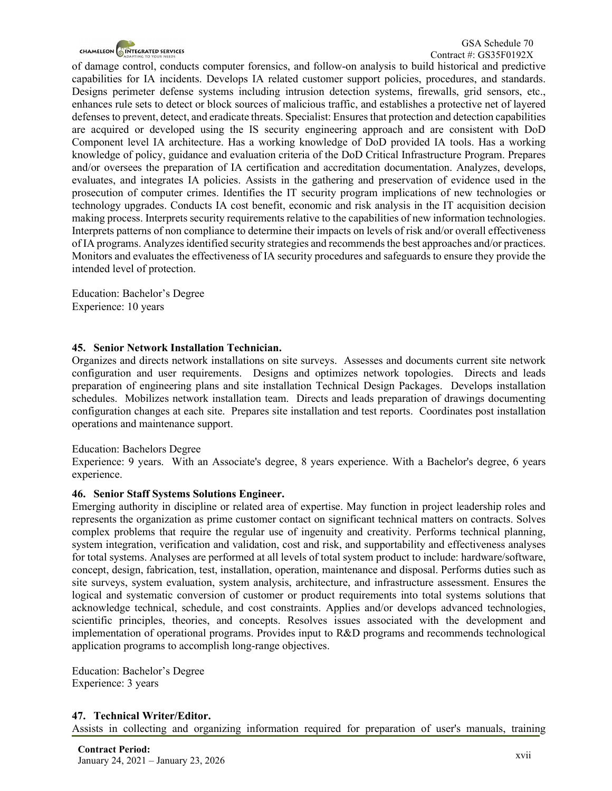

of damage control, conducts computer forensics, and follow-on analysis to build historical and predictive capabilities for IA incidents. Develops IA related customer support policies, procedures, and standards. Designs perimeter defense systems including intrusion detection systems, firewalls, grid sensors, etc., enhances rule sets to detect or block sources of malicious traffic, and establishes a protective net of layered defenses to prevent, detect, and eradicate threats. Specialist: Ensures that protection and detection capabilities are acquired or developed using the IS security engineering approach and are consistent with DoD Component level IA architecture. Has a working knowledge of DoD provided IA tools. Has a working knowledge of policy, guidance and evaluation criteria of the DoD Critical Infrastructure Program. Prepares and/or oversees the preparation of IA certification and accreditation documentation. Analyzes, develops, evaluates, and integrates IA policies. Assists in the gathering and preservation of evidence used in the prosecution of computer crimes. Identifies the IT security program implications of new technologies or technology upgrades. Conducts IA cost benefit, economic and risk analysis in the IT acquisition decision making process. Interprets security requirements relative to the capabilities of new information technologies. Interprets patterns of non compliance to determine their impacts on levels of risk and/or overall effectiveness of IA programs. Analyzes identified security strategies and recommends the best approaches and/or practices. Monitors and evaluates the effectiveness of IA security procedures and safeguards to ensure they provide the intended level of protection.

Education: Bachelor's Degree Experience: 10 years

#### **45. Senior Network Installation Technician.**

Organizes and directs network installations on site surveys. Assesses and documents current site network configuration and user requirements. Designs and optimizes network topologies. Directs and leads preparation of engineering plans and site installation Technical Design Packages. Develops installation schedules. Mobilizes network installation team. Directs and leads preparation of drawings documenting configuration changes at each site. Prepares site installation and test reports. Coordinates post installation operations and maintenance support.

#### Education: Bachelors Degree

Experience: 9 years. With an Associate's degree, 8 years experience. With a Bachelor's degree, 6 years experience.

#### **46. Senior Staff Systems Solutions Engineer.**

Emerging authority in discipline or related area of expertise. May function in project leadership roles and represents the organization as prime customer contact on significant technical matters on contracts. Solves complex problems that require the regular use of ingenuity and creativity. Performs technical planning, system integration, verification and validation, cost and risk, and supportability and effectiveness analyses for total systems. Analyses are performed at all levels of total system product to include: hardware/software, concept, design, fabrication, test, installation, operation, maintenance and disposal. Performs duties such as site surveys, system evaluation, system analysis, architecture, and infrastructure assessment. Ensures the logical and systematic conversion of customer or product requirements into total systems solutions that acknowledge technical, schedule, and cost constraints. Applies and/or develops advanced technologies, scientific principles, theories, and concepts. Resolves issues associated with the development and implementation of operational programs. Provides input to R&D programs and recommends technological application programs to accomplish long-range objectives.

Education: Bachelor's Degree Experience: 3 years

#### **47. Technical Writer/Editor.**

Assists in collecting and organizing information required for preparation of user's manuals, training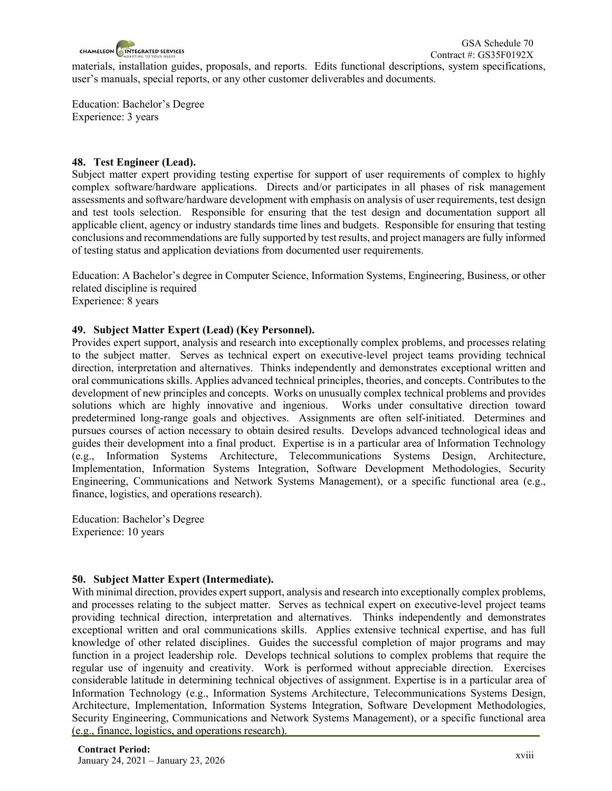

materials, installation guides, proposals, and reports. Edits functional descriptions, system specifications, user's manuals, special reports, or any other customer deliverables and documents.

Education: Bachelor's Degree Experience: 3 years

## **48. Test Engineer (Lead).**

Subject matter expert providing testing expertise for support of user requirements of complex to highly complex software/hardware applications. Directs and/or participates in all phases of risk management assessments and software/hardware development with emphasis on analysis of user requirements, test design and test tools selection. Responsible for ensuring that the test design and documentation support all applicable client, agency or industry standards time lines and budgets. Responsible for ensuring that testing conclusions and recommendations are fully supported by test results, and project managers are fully informed of testing status and application deviations from documented user requirements.

Education: A Bachelor's degree in Computer Science, Information Systems, Engineering, Business, or other related discipline is required Experience: 8 years

### **49. Subject Matter Expert (Lead) (Key Personnel).**

Provides expert support, analysis and research into exceptionally complex problems, and processes relating to the subject matter. Serves as technical expert on executive-level project teams providing technical direction, interpretation and alternatives. Thinks independently and demonstrates exceptional written and oral communications skills. Applies advanced technical principles, theories, and concepts. Contributes to the development of new principles and concepts. Works on unusually complex technical problems and provides solutions which are highly innovative and ingenious. Works under consultative direction toward predetermined long-range goals and objectives. Assignments are often self-initiated. Determines and pursues courses of action necessary to obtain desired results. Develops advanced technological ideas and guides their development into a final product. Expertise is in a particular area of Information Technology (e.g., Information Systems Architecture, Telecommunications Systems Design, Architecture, Implementation, Information Systems Integration, Software Development Methodologies, Security Engineering, Communications and Network Systems Management), or a specific functional area (e.g., finance, logistics, and operations research).

Education: Bachelor's Degree Experience: 10 years

## **50. Subject Matter Expert (Intermediate).**

With minimal direction, provides expert support, analysis and research into exceptionally complex problems, and processes relating to the subject matter. Serves as technical expert on executive-level project teams providing technical direction, interpretation and alternatives. Thinks independently and demonstrates exceptional written and oral communications skills. Applies extensive technical expertise, and has full knowledge of other related disciplines. Guides the successful completion of major programs and may function in a project leadership role. Develops technical solutions to complex problems that require the regular use of ingenuity and creativity. Work is performed without appreciable direction. Exercises considerable latitude in determining technical objectives of assignment. Expertise is in a particular area of Information Technology (e.g., Information Systems Architecture, Telecommunications Systems Design, Architecture, Implementation, Information Systems Integration, Software Development Methodologies, Security Engineering, Communications and Network Systems Management), or a specific functional area (e.g., finance, logistics, and operations research).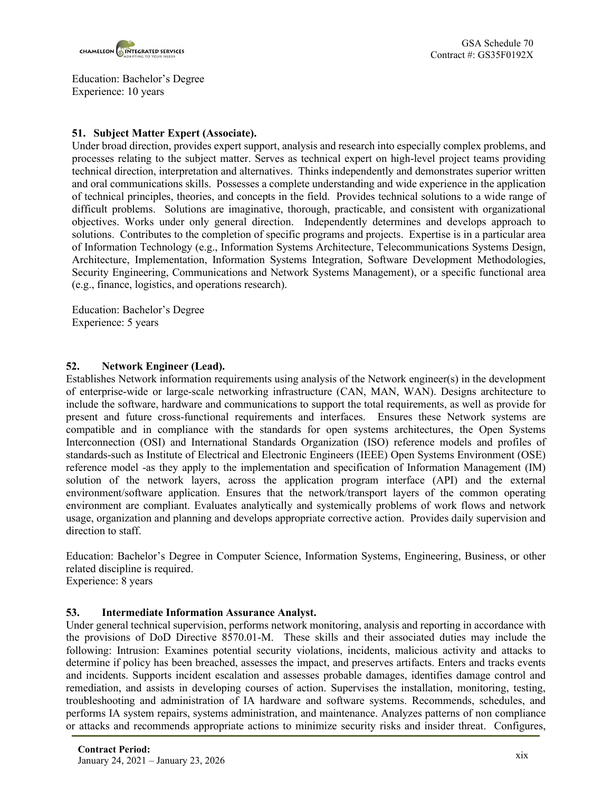

Education: Bachelor's Degree Experience: 10 years

### **51. Subject Matter Expert (Associate).**

Under broad direction, provides expert support, analysis and research into especially complex problems, and processes relating to the subject matter. Serves as technical expert on high-level project teams providing technical direction, interpretation and alternatives. Thinks independently and demonstrates superior written and oral communications skills. Possesses a complete understanding and wide experience in the application of technical principles, theories, and concepts in the field. Provides technical solutions to a wide range of difficult problems. Solutions are imaginative, thorough, practicable, and consistent with organizational objectives. Works under only general direction. Independently determines and develops approach to solutions. Contributes to the completion of specific programs and projects. Expertise is in a particular area of Information Technology (e.g., Information Systems Architecture, Telecommunications Systems Design, Architecture, Implementation, Information Systems Integration, Software Development Methodologies, Security Engineering, Communications and Network Systems Management), or a specific functional area (e.g., finance, logistics, and operations research).

Education: Bachelor's Degree Experience: 5 years

#### **52. Network Engineer (Lead).**

Establishes Network information requirements using analysis of the Network engineer(s) in the development of enterprise-wide or large-scale networking infrastructure (CAN, MAN, WAN). Designs architecture to include the software, hardware and communications to support the total requirements, as well as provide for present and future cross-functional requirements and interfaces. Ensures these Network systems are compatible and in compliance with the standards for open systems architectures, the Open Systems Interconnection (OSI) and International Standards Organization (ISO) reference models and profiles of standards-such as Institute of Electrical and Electronic Engineers (IEEE) Open Systems Environment (OSE) reference model -as they apply to the implementation and specification of Information Management (IM) solution of the network layers, across the application program interface (API) and the external environment/software application. Ensures that the network/transport layers of the common operating environment are compliant. Evaluates analytically and systemically problems of work flows and network usage, organization and planning and develops appropriate corrective action. Provides daily supervision and direction to staff.

Education: Bachelor's Degree in Computer Science, Information Systems, Engineering, Business, or other related discipline is required.

Experience: 8 years

#### **53. Intermediate Information Assurance Analyst.**

Under general technical supervision, performs network monitoring, analysis and reporting in accordance with the provisions of DoD Directive 8570.01-M. These skills and their associated duties may include the following: Intrusion: Examines potential security violations, incidents, malicious activity and attacks to determine if policy has been breached, assesses the impact, and preserves artifacts. Enters and tracks events and incidents. Supports incident escalation and assesses probable damages, identifies damage control and remediation, and assists in developing courses of action. Supervises the installation, monitoring, testing, troubleshooting and administration of IA hardware and software systems. Recommends, schedules, and performs IA system repairs, systems administration, and maintenance. Analyzes patterns of non compliance or attacks and recommends appropriate actions to minimize security risks and insider threat. Configures,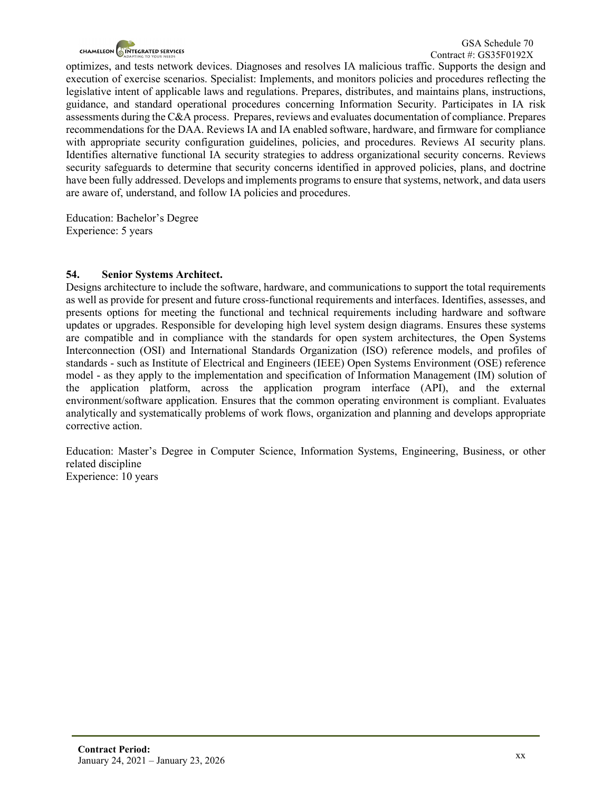

optimizes, and tests network devices. Diagnoses and resolves IA malicious traffic. Supports the design and execution of exercise scenarios. Specialist: Implements, and monitors policies and procedures reflecting the legislative intent of applicable laws and regulations. Prepares, distributes, and maintains plans, instructions, guidance, and standard operational procedures concerning Information Security. Participates in IA risk assessments during the C&A process. Prepares, reviews and evaluates documentation of compliance. Prepares recommendations for the DAA. Reviews IA and IA enabled software, hardware, and firmware for compliance with appropriate security configuration guidelines, policies, and procedures. Reviews AI security plans. Identifies alternative functional IA security strategies to address organizational security concerns. Reviews security safeguards to determine that security concerns identified in approved policies, plans, and doctrine have been fully addressed. Develops and implements programs to ensure that systems, network, and data users are aware of, understand, and follow IA policies and procedures.

Education: Bachelor's Degree Experience: 5 years

#### **54. Senior Systems Architect.**

Designs architecture to include the software, hardware, and communications to support the total requirements as well as provide for present and future cross-functional requirements and interfaces. Identifies, assesses, and presents options for meeting the functional and technical requirements including hardware and software updates or upgrades. Responsible for developing high level system design diagrams. Ensures these systems are compatible and in compliance with the standards for open system architectures, the Open Systems Interconnection (OSI) and International Standards Organization (ISO) reference models, and profiles of standards - such as Institute of Electrical and Engineers (IEEE) Open Systems Environment (OSE) reference model - as they apply to the implementation and specification of Information Management (IM) solution of the application platform, across the application program interface (API), and the external environment/software application. Ensures that the common operating environment is compliant. Evaluates analytically and systematically problems of work flows, organization and planning and develops appropriate corrective action.

Education: Master's Degree in Computer Science, Information Systems, Engineering, Business, or other related discipline Experience: 10 years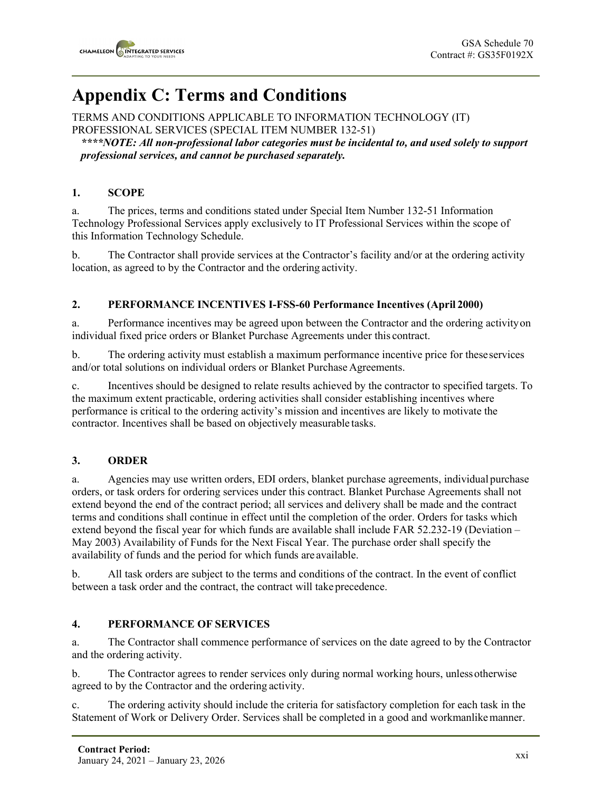

## **Appendix C: Terms and Conditions**

TERMS AND CONDITIONS APPLICABLE TO INFORMATION TECHNOLOGY (IT) PROFESSIONAL SERVICES (SPECIAL ITEM NUMBER 132-51)

*\*\*\*\*NOTE: All non-professional labor categories must be incidental to, and used solely to support professional services, and cannot be purchased separately.*

## **1. SCOPE**

a. The prices, terms and conditions stated under Special Item Number 132-51 Information Technology Professional Services apply exclusively to IT Professional Services within the scope of this Information Technology Schedule.

b. The Contractor shall provide services at the Contractor's facility and/or at the ordering activity location, as agreed to by the Contractor and the ordering activity.

## **2. PERFORMANCE INCENTIVES I-FSS-60 Performance Incentives (April 2000)**

a. Performance incentives may be agreed upon between the Contractor and the ordering activityon individual fixed price orders or Blanket Purchase Agreements under this contract.

b. The ordering activity must establish a maximum performance incentive price for theseservices and/or total solutions on individual orders or Blanket Purchase Agreements.

c. Incentives should be designed to relate results achieved by the contractor to specified targets. To the maximum extent practicable, ordering activities shall consider establishing incentives where performance is critical to the ordering activity's mission and incentives are likely to motivate the contractor. Incentives shall be based on objectively measurable tasks.

## **3. ORDER**

a. Agencies may use written orders, EDI orders, blanket purchase agreements, individual purchase orders, or task orders for ordering services under this contract. Blanket Purchase Agreements shall not extend beyond the end of the contract period; all services and delivery shall be made and the contract terms and conditions shall continue in effect until the completion of the order. Orders for tasks which extend beyond the fiscal year for which funds are available shall include FAR 52.232-19 (Deviation – May 2003) Availability of Funds for the Next Fiscal Year. The purchase order shall specify the availability of funds and the period for which funds are available.

b. All task orders are subject to the terms and conditions of the contract. In the event of conflict between a task order and the contract, the contract will take precedence.

## **4. PERFORMANCE OF SERVICES**

a. The Contractor shall commence performance of services on the date agreed to by the Contractor and the ordering activity.

b. The Contractor agrees to render services only during normal working hours, unlessotherwise agreed to by the Contractor and the ordering activity.

c. The ordering activity should include the criteria for satisfactory completion for each task in the Statement of Work or Delivery Order. Services shall be completed in a good and workmanlikemanner.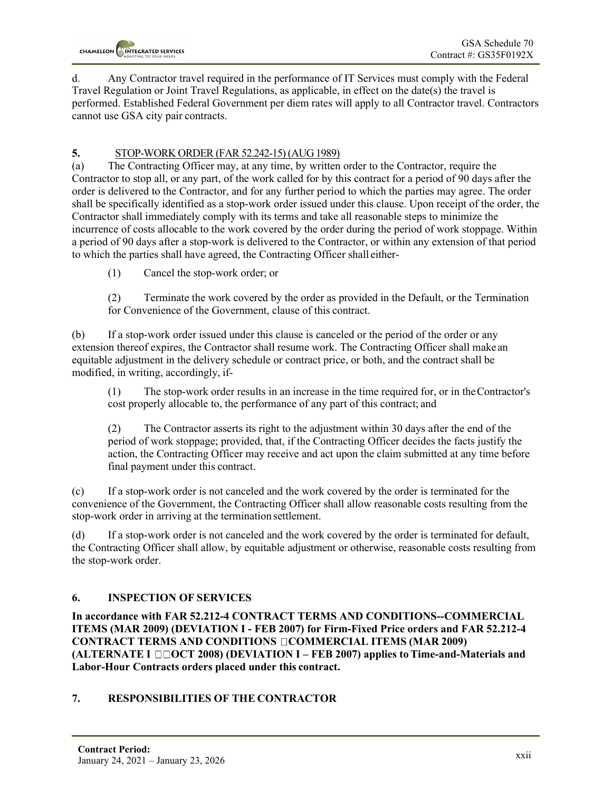d. Any Contractor travel required in the performance of IT Services must comply with the Federal Travel Regulation or Joint Travel Regulations, as applicable, in effect on the date(s) the travel is performed. Established Federal Government per diem rates will apply to all Contractor travel. Contractors cannot use GSA city pair contracts.

## **5.** STOP-WORK ORDER (FAR 52.242-15) (AUG1989)

(a) The Contracting Officer may, at any time, by written order to the Contractor, require the Contractor to stop all, or any part, of the work called for by this contract for a period of 90 days after the order is delivered to the Contractor, and for any further period to which the parties may agree. The order shall be specifically identified as a stop-work order issued under this clause. Upon receipt of the order, the Contractor shall immediately comply with its terms and take all reasonable steps to minimize the incurrence of costs allocable to the work covered by the order during the period of work stoppage. Within a period of 90 days after a stop-work is delivered to the Contractor, or within any extension of that period to which the parties shall have agreed, the Contracting Officer shall either-

(1) Cancel the stop-work order; or

(2) Terminate the work covered by the order as provided in the Default, or the Termination for Convenience of the Government, clause of this contract.

(b) If a stop-work order issued under this clause is canceled or the period of the order or any extension thereof expires, the Contractor shall resume work. The Contracting Officer shall make an equitable adjustment in the delivery schedule or contract price, or both, and the contract shall be modified, in writing, accordingly, if-

(1) The stop-work order results in an increase in the time required for, or in theContractor's cost properly allocable to, the performance of any part of this contract; and

(2) The Contractor asserts its right to the adjustment within 30 days after the end of the period of work stoppage; provided, that, if the Contracting Officer decides the facts justify the action, the Contracting Officer may receive and act upon the claim submitted at any time before final payment under this contract.

(c) If a stop-work order is not canceled and the work covered by the order is terminated for the convenience of the Government, the Contracting Officer shall allow reasonable costs resulting from the stop-work order in arriving at the termination settlement.

(d) If a stop-work order is not canceled and the work covered by the order is terminated for default, the Contracting Officer shall allow, by equitable adjustment or otherwise, reasonable costs resulting from the stop-work order.

## **6. INSPECTION OF SERVICES**

**In accordance with FAR 52.212-4 CONTRACT TERMS AND CONDITIONS--COMMERCIAL ITEMS (MAR 2009) (DEVIATION I - FEB 2007) for Firm-Fixed Price orders and FAR 52.212-4 CONTRACT TERMS AND CONDITIONS COMMERCIAL ITEMS (MAR 2009) (ALTERNATE I OCT 2008) (DEVIATION I – FEB 2007) applies toTime-and-Materials and Labor-Hour Contracts orders placed under this contract.**

## **7. RESPONSIBILITIES OF THE CONTRACTOR**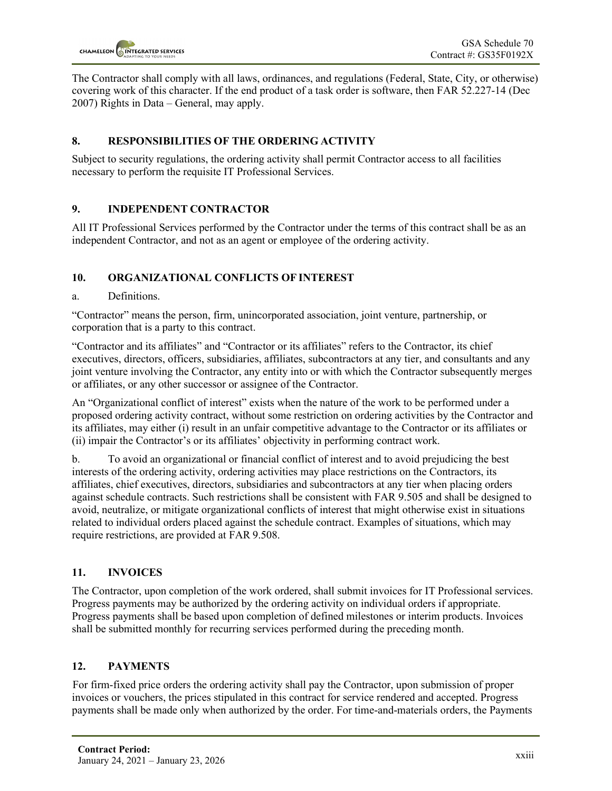The Contractor shall comply with all laws, ordinances, and regulations (Federal, State, City, or otherwise) covering work of this character. If the end product of a task order is software, then FAR 52.227-14 (Dec 2007) Rights in Data – General, may apply.

## **8. RESPONSIBILITIES OF THE ORDERING ACTIVITY**

Subject to security regulations, the ordering activity shall permit Contractor access to all facilities necessary to perform the requisite IT Professional Services.

## **9. INDEPENDENT CONTRACTOR**

All IT Professional Services performed by the Contractor under the terms of this contract shall be as an independent Contractor, and not as an agent or employee of the ordering activity.

## **10. ORGANIZATIONAL CONFLICTS OF INTEREST**

a. Definitions.

"Contractor" means the person, firm, unincorporated association, joint venture, partnership, or corporation that is a party to this contract.

"Contractor and its affiliates" and "Contractor or its affiliates" refers to the Contractor, its chief executives, directors, officers, subsidiaries, affiliates, subcontractors at any tier, and consultants and any joint venture involving the Contractor, any entity into or with which the Contractor subsequently merges or affiliates, or any other successor or assignee of the Contractor.

An "Organizational conflict of interest" exists when the nature of the work to be performed under a proposed ordering activity contract, without some restriction on ordering activities by the Contractor and its affiliates, may either (i) result in an unfair competitive advantage to the Contractor or its affiliates or (ii) impair the Contractor's or its affiliates' objectivity in performing contract work.

b. To avoid an organizational or financial conflict of interest and to avoid prejudicing the best interests of the ordering activity, ordering activities may place restrictions on the Contractors, its affiliates, chief executives, directors, subsidiaries and subcontractors at any tier when placing orders against schedule contracts. Such restrictions shall be consistent with FAR 9.505 and shall be designed to avoid, neutralize, or mitigate organizational conflicts of interest that might otherwise exist in situations related to individual orders placed against the schedule contract. Examples of situations, which may require restrictions, are provided at FAR 9.508.

## **11. INVOICES**

The Contractor, upon completion of the work ordered, shall submit invoices for IT Professional services. Progress payments may be authorized by the ordering activity on individual orders if appropriate. Progress payments shall be based upon completion of defined milestones or interim products. Invoices shall be submitted monthly for recurring services performed during the preceding month.

## **12. PAYMENTS**

For firm-fixed price orders the ordering activity shall pay the Contractor, upon submission of proper invoices or vouchers, the prices stipulated in this contract for service rendered and accepted. Progress payments shall be made only when authorized by the order. For time-and-materials orders, the Payments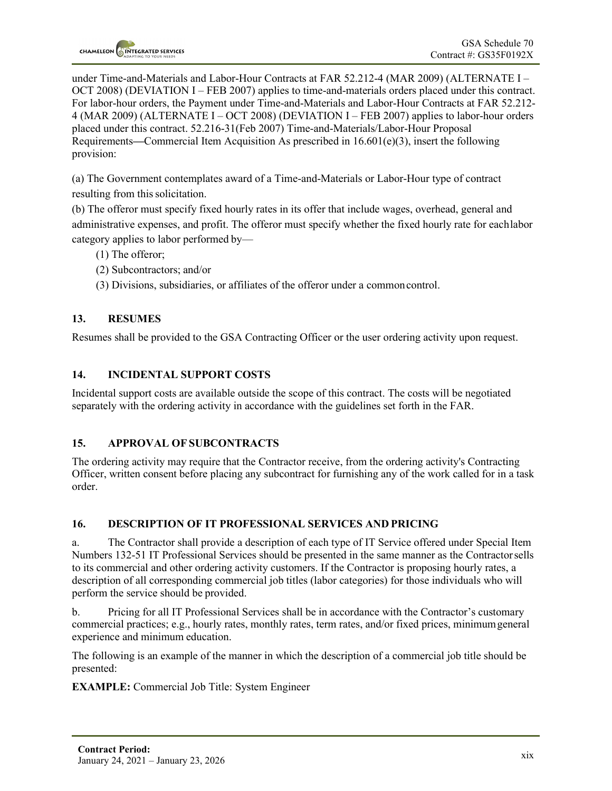under Time-and-Materials and Labor-Hour Contracts at FAR 52.212-4 (MAR 2009) (ALTERNATE I – OCT 2008) (DEVIATION I – FEB 2007) applies to time-and-materials orders placed under this contract. For labor-hour orders, the Payment under Time-and-Materials and Labor-Hour Contracts at FAR 52.212- 4 (MAR 2009) (ALTERNATE I – OCT 2008) (DEVIATION I – FEB 2007) applies to labor-hour orders placed under this contract. 52.216-31(Feb 2007) Time-and-Materials/Labor-Hour Proposal Requirements**—**Commercial Item Acquisition As prescribed in 16.601(e)(3), insert the following provision:

(a) The Government contemplates award of a Time-and-Materials or Labor-Hour type of contract resulting from this solicitation.

(b) The offeror must specify fixed hourly rates in its offer that include wages, overhead, general and administrative expenses, and profit. The offeror must specify whether the fixed hourly rate for eachlabor category applies to labor performed by—

- (1) The offeror;
- (2) Subcontractors; and/or
- (3) Divisions, subsidiaries, or affiliates of the offeror under a commoncontrol.

## **13. RESUMES**

Resumes shall be provided to the GSA Contracting Officer or the user ordering activity upon request.

## **14. INCIDENTAL SUPPORT COSTS**

Incidental support costs are available outside the scope of this contract. The costs will be negotiated separately with the ordering activity in accordance with the guidelines set forth in the FAR.

## **15. APPROVAL OF SUBCONTRACTS**

The ordering activity may require that the Contractor receive, from the ordering activity's Contracting Officer, written consent before placing any subcontract for furnishing any of the work called for in a task order.

## **16. DESCRIPTION OF IT PROFESSIONAL SERVICES AND PRICING**

a. The Contractor shall provide a description of each type of IT Service offered under Special Item Numbers 132-51 IT Professional Services should be presented in the same manner as the Contractorsells to its commercial and other ordering activity customers. If the Contractor is proposing hourly rates, a description of all corresponding commercial job titles (labor categories) for those individuals who will perform the service should be provided.

b. Pricing for all IT Professional Services shall be in accordance with the Contractor's customary commercial practices; e.g., hourly rates, monthly rates, term rates, and/or fixed prices, minimumgeneral experience and minimum education.

The following is an example of the manner in which the description of a commercial job title should be presented:

**EXAMPLE:** Commercial Job Title: System Engineer